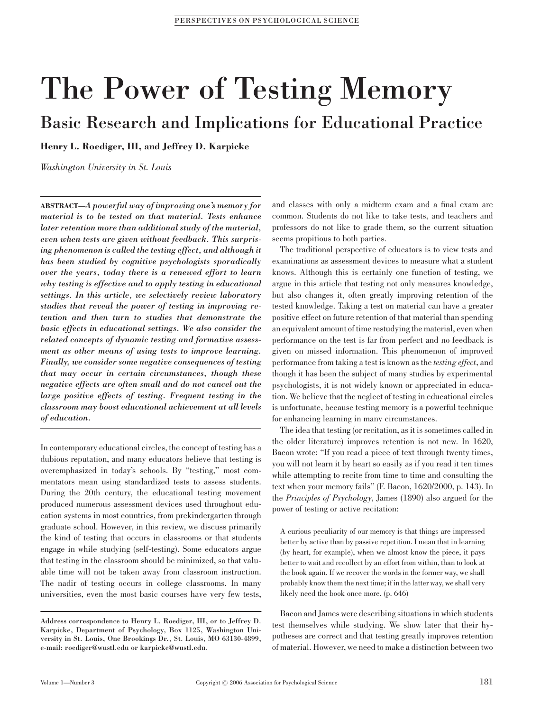# The Power of Testing Memory

Basic Research and Implications for Educational Practice

Henry L. Roediger, III, and Jeffrey D. Karpicke

Washington University in St. Louis

ABSTRACT—A powerful way of improving one's memory for material is to be tested on that material. Tests enhance later retention more than additional study of the material, even when tests are given without feedback. This surprising phenomenon is called the testing effect, and although it has been studied by cognitive psychologists sporadically over the years, today there is a renewed effort to learn why testing is effective and to apply testing in educational settings. In this article, we selectively review laboratory studies that reveal the power of testing in improving retention and then turn to studies that demonstrate the basic effects in educational settings. We also consider the related concepts of dynamic testing and formative assessment as other means of using tests to improve learning. Finally, we consider some negative consequences of testing that may occur in certain circumstances, though these negative effects are often small and do not cancel out the large positive effects of testing. Frequent testing in the classroom may boost educational achievement at all levels of education.

In contemporary educational circles, the concept of testing has a dubious reputation, and many educators believe that testing is overemphasized in today's schools. By ''testing,'' most commentators mean using standardized tests to assess students. During the 20th century, the educational testing movement produced numerous assessment devices used throughout education systems in most countries, from prekindergarten through graduate school. However, in this review, we discuss primarily the kind of testing that occurs in classrooms or that students engage in while studying (self-testing). Some educators argue that testing in the classroom should be minimized, so that valuable time will not be taken away from classroom instruction. The nadir of testing occurs in college classrooms. In many universities, even the most basic courses have very few tests, and classes with only a midterm exam and a final exam are common. Students do not like to take tests, and teachers and professors do not like to grade them, so the current situation seems propitious to both parties.

The traditional perspective of educators is to view tests and examinations as assessment devices to measure what a student knows. Although this is certainly one function of testing, we argue in this article that testing not only measures knowledge, but also changes it, often greatly improving retention of the tested knowledge. Taking a test on material can have a greater positive effect on future retention of that material than spending an equivalent amount of time restudying the material, even when performance on the test is far from perfect and no feedback is given on missed information. This phenomenon of improved performance from taking a test is known as the testing effect, and though it has been the subject of many studies by experimental psychologists, it is not widely known or appreciated in education. We believe that the neglect of testing in educational circles is unfortunate, because testing memory is a powerful technique for enhancing learning in many circumstances.

The idea that testing (or recitation, as it is sometimes called in the older literature) improves retention is not new. In 1620, Bacon wrote: ''If you read a piece of text through twenty times, you will not learn it by heart so easily as if you read it ten times while attempting to recite from time to time and consulting the text when your memory fails'' (F. Bacon, 1620/2000, p. 143). In the Principles of Psychology, James (1890) also argued for the power of testing or active recitation:

A curious peculiarity of our memory is that things are impressed better by active than by passive repetition. I mean that in learning (by heart, for example), when we almost know the piece, it pays better to wait and recollect by an effort from within, than to look at the book again. If we recover the words in the former way, we shall probably know them the next time; if in the latter way, we shall very likely need the book once more. (p. 646)

Bacon and James were describing situations in which students test themselves while studying. We show later that their hypotheses are correct and that testing greatly improves retention of material. However, we need to make a distinction between two

Address correspondence to Henry L. Roediger, III, or to Jeffrey D. Karpicke, Department of Psychology, Box 1125, Washington University in St. Louis, One Brookings Dr., St. Louis, MO 63130-4899, e-mail: roediger@wustl.edu or karpicke@wustl.edu.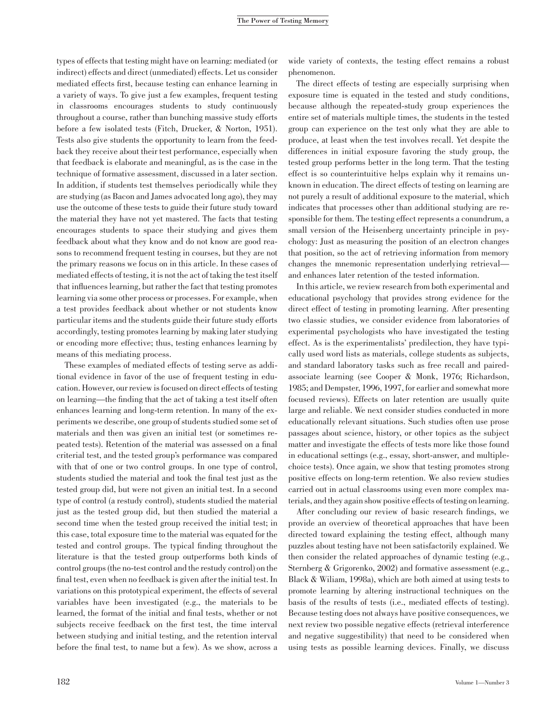# The Power of Testing Memory

types of effects that testing might have on learning: mediated (or indirect) effects and direct (unmediated) effects. Let us consider mediated effects first, because testing can enhance learning in a variety of ways. To give just a few examples, frequent testing in classrooms encourages students to study continuously throughout a course, rather than bunching massive study efforts before a few isolated tests (Fitch, Drucker, & Norton, 1951). Tests also give students the opportunity to learn from the feedback they receive about their test performance, especially when that feedback is elaborate and meaningful, as is the case in the technique of formative assessment, discussed in a later section. In addition, if students test themselves periodically while they are studying (as Bacon and James advocated long ago), they may use the outcome of these tests to guide their future study toward the material they have not yet mastered. The facts that testing encourages students to space their studying and gives them feedback about what they know and do not know are good reasons to recommend frequent testing in courses, but they are not the primary reasons we focus on in this article. In these cases of mediated effects of testing, it is not the act of taking the test itself that influences learning, but rather the fact that testing promotes learning via some other process or processes. For example, when a test provides feedback about whether or not students know particular items and the students guide their future study efforts accordingly, testing promotes learning by making later studying or encoding more effective; thus, testing enhances learning by means of this mediating process.

These examples of mediated effects of testing serve as additional evidence in favor of the use of frequent testing in education. However, our review is focused on direct effects of testing on learning—the finding that the act of taking a test itself often enhances learning and long-term retention. In many of the experiments we describe, one group of students studied some set of materials and then was given an initial test (or sometimes repeated tests). Retention of the material was assessed on a final criterial test, and the tested group's performance was compared with that of one or two control groups. In one type of control, students studied the material and took the final test just as the tested group did, but were not given an initial test. In a second type of control (a restudy control), students studied the material just as the tested group did, but then studied the material a second time when the tested group received the initial test; in this case, total exposure time to the material was equated for the tested and control groups. The typical finding throughout the literature is that the tested group outperforms both kinds of control groups (the no-test control and the restudy control) on the final test, even when no feedback is given after the initial test. In variations on this prototypical experiment, the effects of several variables have been investigated (e.g., the materials to be learned, the format of the initial and final tests, whether or not subjects receive feedback on the first test, the time interval between studying and initial testing, and the retention interval before the final test, to name but a few). As we show, across a wide variety of contexts, the testing effect remains a robust phenomenon.

The direct effects of testing are especially surprising when exposure time is equated in the tested and study conditions, because although the repeated-study group experiences the entire set of materials multiple times, the students in the tested group can experience on the test only what they are able to produce, at least when the test involves recall. Yet despite the differences in initial exposure favoring the study group, the tested group performs better in the long term. That the testing effect is so counterintuitive helps explain why it remains unknown in education. The direct effects of testing on learning are not purely a result of additional exposure to the material, which indicates that processes other than additional studying are responsible for them. The testing effect represents a conundrum, a small version of the Heisenberg uncertainty principle in psychology: Just as measuring the position of an electron changes that position, so the act of retrieving information from memory changes the mnemonic representation underlying retrieval and enhances later retention of the tested information.

In this article, we review research from both experimental and educational psychology that provides strong evidence for the direct effect of testing in promoting learning. After presenting two classic studies, we consider evidence from laboratories of experimental psychologists who have investigated the testing effect. As is the experimentalists' predilection, they have typically used word lists as materials, college students as subjects, and standard laboratory tasks such as free recall and pairedassociate learning (see Cooper & Monk, 1976; Richardson, 1985; and Dempster, 1996, 1997, for earlier and somewhat more focused reviews). Effects on later retention are usually quite large and reliable. We next consider studies conducted in more educationally relevant situations. Such studies often use prose passages about science, history, or other topics as the subject matter and investigate the effects of tests more like those found in educational settings (e.g., essay, short-answer, and multiplechoice tests). Once again, we show that testing promotes strong positive effects on long-term retention. We also review studies carried out in actual classrooms using even more complex materials, and they again show positive effects of testing on learning.

After concluding our review of basic research findings, we provide an overview of theoretical approaches that have been directed toward explaining the testing effect, although many puzzles about testing have not been satisfactorily explained. We then consider the related approaches of dynamic testing (e.g., Sternberg & Grigorenko, 2002) and formative assessment (e.g., Black & Wiliam, 1998a), which are both aimed at using tests to promote learning by altering instructional techniques on the basis of the results of tests (i.e., mediated effects of testing). Because testing does not always have positive consequences, we next review two possible negative effects (retrieval interference and negative suggestibility) that need to be considered when using tests as possible learning devices. Finally, we discuss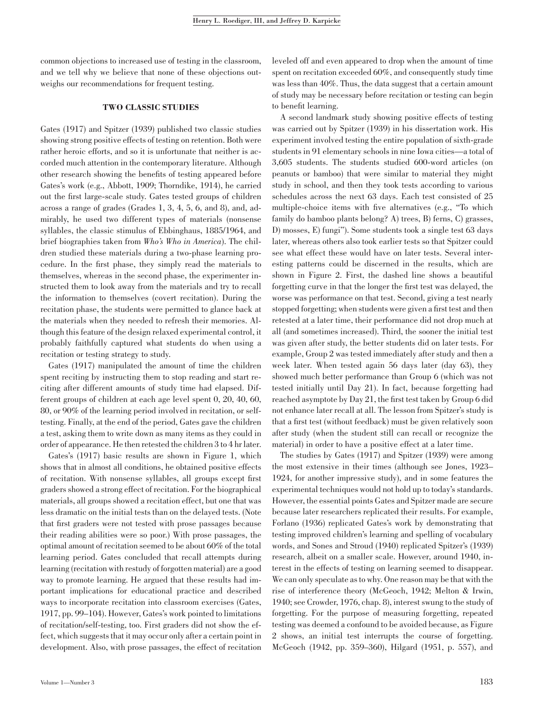common objections to increased use of testing in the classroom, and we tell why we believe that none of these objections outweighs our recommendations for frequent testing.

# TWO CLASSIC STUDIES

Gates (1917) and Spitzer (1939) published two classic studies showing strong positive effects of testing on retention. Both were rather heroic efforts, and so it is unfortunate that neither is accorded much attention in the contemporary literature. Although other research showing the benefits of testing appeared before Gates's work (e.g., Abbott, 1909; Thorndike, 1914), he carried out the first large-scale study. Gates tested groups of children across a range of grades (Grades 1, 3, 4, 5, 6, and 8), and, admirably, he used two different types of materials (nonsense syllables, the classic stimulus of Ebbinghaus, 1885/1964, and brief biographies taken from Who's Who in America). The children studied these materials during a two-phase learning procedure. In the first phase, they simply read the materials to themselves, whereas in the second phase, the experimenter instructed them to look away from the materials and try to recall the information to themselves (covert recitation). During the recitation phase, the students were permitted to glance back at the materials when they needed to refresh their memories. Although this feature of the design relaxed experimental control, it probably faithfully captured what students do when using a recitation or testing strategy to study.

Gates (1917) manipulated the amount of time the children spent reciting by instructing them to stop reading and start reciting after different amounts of study time had elapsed. Different groups of children at each age level spent 0, 20, 40, 60, 80, or 90% of the learning period involved in recitation, or selftesting. Finally, at the end of the period, Gates gave the children a test, asking them to write down as many items as they could in order of appearance. He then retested the children 3 to 4 hr later.

Gates's (1917) basic results are shown in Figure 1, which shows that in almost all conditions, he obtained positive effects of recitation. With nonsense syllables, all groups except first graders showed a strong effect of recitation. For the biographical materials, all groups showed a recitation effect, but one that was less dramatic on the initial tests than on the delayed tests. (Note that first graders were not tested with prose passages because their reading abilities were so poor.) With prose passages, the optimal amount of recitation seemed to be about 60% of the total learning period. Gates concluded that recall attempts during learning (recitation with restudy of forgotten material) are a good way to promote learning. He argued that these results had important implications for educational practice and described ways to incorporate recitation into classroom exercises (Gates, 1917, pp. 99–104). However, Gates's work pointed to limitations of recitation/self-testing, too. First graders did not show the effect, which suggests that it may occur only after a certain point in development. Also, with prose passages, the effect of recitation leveled off and even appeared to drop when the amount of time spent on recitation exceeded 60%, and consequently study time was less than 40%. Thus, the data suggest that a certain amount of study may be necessary before recitation or testing can begin to benefit learning.

A second landmark study showing positive effects of testing was carried out by Spitzer (1939) in his dissertation work. His experiment involved testing the entire population of sixth-grade students in 91 elementary schools in nine Iowa cities—a total of 3,605 students. The students studied 600-word articles (on peanuts or bamboo) that were similar to material they might study in school, and then they took tests according to various schedules across the next 63 days. Each test consisted of 25 multiple-choice items with five alternatives (e.g., ''To which family do bamboo plants belong? A) trees, B) ferns, C) grasses, D) mosses, E) fungi''). Some students took a single test 63 days later, whereas others also took earlier tests so that Spitzer could see what effect these would have on later tests. Several interesting patterns could be discerned in the results, which are shown in Figure 2. First, the dashed line shows a beautiful forgetting curve in that the longer the first test was delayed, the worse was performance on that test. Second, giving a test nearly stopped forgetting; when students were given a first test and then retested at a later time, their performance did not drop much at all (and sometimes increased). Third, the sooner the initial test was given after study, the better students did on later tests. For example, Group 2 was tested immediately after study and then a week later. When tested again 56 days later (day 63), they showed much better performance than Group 6 (which was not tested initially until Day 21). In fact, because forgetting had reached asymptote by Day 21, the first test taken by Group 6 did not enhance later recall at all. The lesson from Spitzer's study is that a first test (without feedback) must be given relatively soon after study (when the student still can recall or recognize the material) in order to have a positive effect at a later time.

The studies by Gates (1917) and Spitzer (1939) were among the most extensive in their times (although see Jones, 1923– 1924, for another impressive study), and in some features the experimental techniques would not hold up to today's standards. However, the essential points Gates and Spitzer made are secure because later researchers replicated their results. For example, Forlano (1936) replicated Gates's work by demonstrating that testing improved children's learning and spelling of vocabulary words, and Sones and Stroud (1940) replicated Spitzer's (1939) research, albeit on a smaller scale. However, around 1940, interest in the effects of testing on learning seemed to disappear. We can only speculate as to why. One reason may be that with the rise of interference theory (McGeoch, 1942; Melton & Irwin, 1940; see Crowder, 1976, chap. 8), interest swung to the study of forgetting. For the purpose of measuring forgetting, repeated testing was deemed a confound to be avoided because, as Figure 2 shows, an initial test interrupts the course of forgetting. McGeoch (1942, pp. 359–360), Hilgard (1951, p. 557), and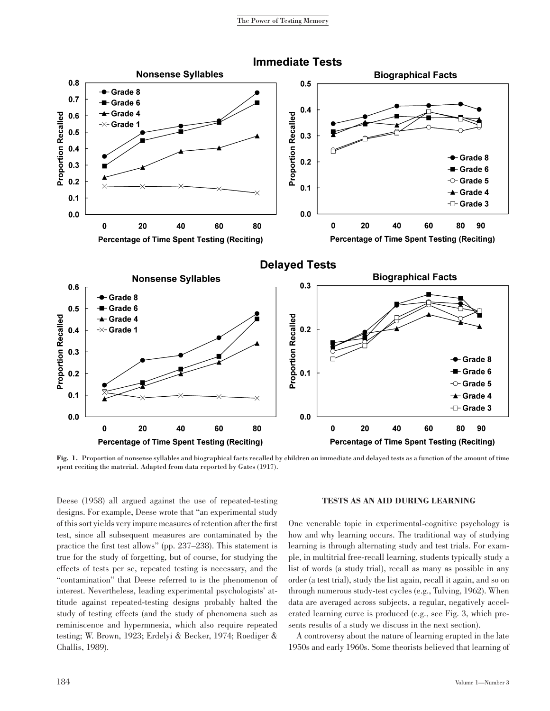

Fig. 1. Proportion of nonsense syllables and biographical facts recalled by children on immediate and delayed tests as a function of the amount of time spent reciting the material. Adapted from data reported by Gates (1917).

Deese (1958) all argued against the use of repeated-testing designs. For example, Deese wrote that ''an experimental study of this sort yields very impure measures of retention after the first test, since all subsequent measures are contaminated by the practice the first test allows'' (pp. 237–238). This statement is true for the study of forgetting, but of course, for studying the effects of tests per se, repeated testing is necessary, and the ''contamination'' that Deese referred to is the phenomenon of interest. Nevertheless, leading experimental psychologists' attitude against repeated-testing designs probably halted the study of testing effects (and the study of phenomena such as reminiscence and hypermnesia, which also require repeated testing; W. Brown, 1923; Erdelyi & Becker, 1974; Roediger & Challis, 1989).

## TESTS AS AN AID DURING LEARNING

One venerable topic in experimental-cognitive psychology is how and why learning occurs. The traditional way of studying learning is through alternating study and test trials. For example, in multitrial free-recall learning, students typically study a list of words (a study trial), recall as many as possible in any order (a test trial), study the list again, recall it again, and so on through numerous study-test cycles (e.g., Tulving, 1962). When data are averaged across subjects, a regular, negatively accelerated learning curve is produced (e.g., see Fig. 3, which presents results of a study we discuss in the next section).

A controversy about the nature of learning erupted in the late 1950s and early 1960s. Some theorists believed that learning of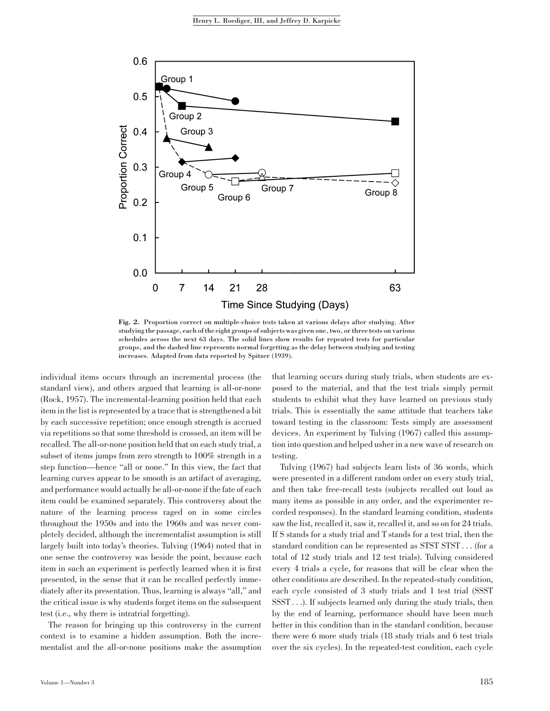

Fig. 2. Proportion correct on multiple-choice tests taken at various delays after studying. After studying the passage, each of the eight groups of subjects was given one, two, or three tests on various schedules across the next 63 days. The solid lines show results for repeated tests for particular groups, and the dashed line represents normal forgetting as the delay between studying and testing increases. Adapted from data reported by Spitzer (1939).

individual items occurs through an incremental process (the standard view), and others argued that learning is all-or-none (Rock, 1957). The incremental-learning position held that each item in the list is represented by a trace that is strengthened a bit by each successive repetition; once enough strength is accrued via repetitions so that some threshold is crossed, an item will be recalled. The all-or-none position held that on each study trial, a subset of items jumps from zero strength to  $100\%$  strength in a step function—hence ''all or none.'' In this view, the fact that learning curves appear to be smooth is an artifact of averaging, and performance would actually be all-or-none if the fate of each item could be examined separately. This controversy about the nature of the learning process raged on in some circles throughout the 1950s and into the 1960s and was never completely decided, although the incrementalist assumption is still largely built into today's theories. Tulving (1964) noted that in one sense the controversy was beside the point, because each item in such an experiment is perfectly learned when it is first presented, in the sense that it can be recalled perfectly immediately after its presentation. Thus, learning is always ''all,'' and the critical issue is why students forget items on the subsequent test (i.e., why there is intratrial forgetting).

The reason for bringing up this controversy in the current context is to examine a hidden assumption. Both the incrementalist and the all-or-none positions make the assumption

Volume 1—Number 3 185

that learning occurs during study trials, when students are exposed to the material, and that the test trials simply permit students to exhibit what they have learned on previous study trials. This is essentially the same attitude that teachers take toward testing in the classroom: Tests simply are assessment devices. An experiment by Tulving (1967) called this assumption into question and helped usher in a new wave of research on testing.

Tulving (1967) had subjects learn lists of 36 words, which were presented in a different random order on every study trial, and then take free-recall tests (subjects recalled out loud as many items as possible in any order, and the experimenter recorded responses). In the standard learning condition, students saw the list, recalled it, saw it, recalled it, and so on for 24 trials. If S stands for a study trial and T stands for a test trial, then the standard condition can be represented as STST STST... (for a total of 12 study trials and 12 test trials). Tulving considered every 4 trials a cycle, for reasons that will be clear when the other conditions are described. In the repeated-study condition, each cycle consisted of 3 study trials and 1 test trial (SSST SSST . . .). If subjects learned only during the study trials, then by the end of learning, performance should have been much better in this condition than in the standard condition, because there were 6 more study trials (18 study trials and 6 test trials over the six cycles). In the repeated-test condition, each cycle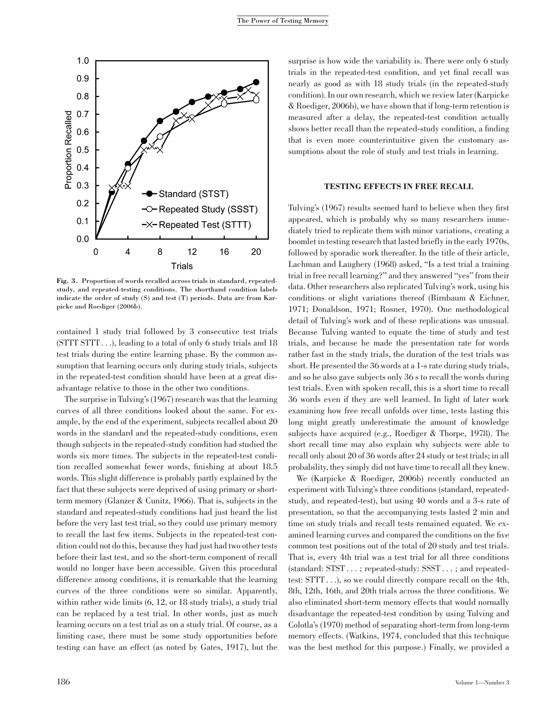

Fig. 3. Proportion of words recalled across trials in standard, repeatedstudy, and repeated-testing conditions. The shorthand condition labels indicate the order of study (S) and test (T) periods. Data are from Karpicke and Roediger (2006b).

contained 1 study trial followed by 3 consecutive test trials (STTT STTT . . .), leading to a total of only 6 study trials and 18 test trials during the entire learning phase. By the common assumption that learning occurs only during study trials, subjects in the repeated-test condition should have been at a great disadvantage relative to those in the other two conditions.

The surprise in Tulving's (1967) research was that the learning curves of all three conditions looked about the same. For example, by the end of the experiment, subjects recalled about 20 words in the standard and the repeated-study conditions, even though subjects in the repeated-study condition had studied the words six more times. The subjects in the repeated-test condition recalled somewhat fewer words, finishing at about 18.5 words. This slight difference is probably partly explained by the fact that these subjects were deprived of using primary or shortterm memory (Glanzer & Cunitz, 1966). That is, subjects in the standard and repeated-study conditions had just heard the list before the very last test trial, so they could use primary memory to recall the last few items. Subjects in the repeated-test condition could not do this, because they had just had two other tests before their last test, and so the short-term component of recall would no longer have been accessible. Given this procedural difference among conditions, it is remarkable that the learning curves of the three conditions were so similar. Apparently, within rather wide limits (6, 12, or 18 study trials), a study trial can be replaced by a test trial. In other words, just as much learning occurs on a test trial as on a study trial. Of course, as a limiting case, there must be some study opportunities before testing can have an effect (as noted by Gates, 1917), but the

surprise is how wide the variability is. There were only 6 study trials in the repeated-test condition, and yet final recall was nearly as good as with 18 study trials (in the repeated-study condition). In our own research, which we review later (Karpicke & Roediger, 2006b), we have shown that if long-term retention is measured after a delay, the repeated-test condition actually shows better recall than the repeated-study condition, a finding that is even more counterintuitive given the customary assumptions about the role of study and test trials in learning.

# TESTING EFFECTS IN FREE RECALL

Tulving's (1967) results seemed hard to believe when they first appeared, which is probably why so many researchers immediately tried to replicate them with minor variations, creating a boomlet in testing research that lasted briefly in the early 1970s, followed by sporadic work thereafter. In the title of their article, Lachman and Laughery (1968) asked, ''Is a test trial a training trial in free recall learning?'' and they answered ''yes'' from their data. Other researchers also replicated Tulving's work, using his conditions or slight variations thereof (Birnbaum & Eichner, 1971; Donaldson, 1971; Rosner, 1970). One methodological detail of Tulving's work and of these replications was unusual. Because Tulving wanted to equate the time of study and test trials, and because he made the presentation rate for words rather fast in the study trials, the duration of the test trials was short. He presented the 36 words at a 1-s rate during study trials, and so he also gave subjects only 36 s to recall the words during test trials. Even with spoken recall, this is a short time to recall 36 words even if they are well learned. In light of later work examining how free recall unfolds over time, tests lasting this long might greatly underestimate the amount of knowledge subjects have acquired (e.g., Roediger & Thorpe, 1978). The short recall time may also explain why subjects were able to recall only about 20 of 36 words after 24 study or test trials; in all probability, they simply did not have time to recall all they knew.

We (Karpicke & Roediger, 2006b) recently conducted an experiment with Tulving's three conditions (standard, repeatedstudy, and repeated-test), but using 40 words and a 3-s rate of presentation, so that the accompanying tests lasted 2 min and time on study trials and recall tests remained equated. We examined learning curves and compared the conditions on the five common test positions out of the total of 20 study and test trials. That is, every 4th trial was a test trial for all three conditions (standard: STST . . . ; repeated-study: SSST . . . ; and repeatedtest: STTT . . .), so we could directly compare recall on the 4th, 8th, 12th, 16th, and 20th trials across the three conditions. We also eliminated short-term memory effects that would normally disadvantage the repeated-test condition by using Tulving and Colotla's (1970) method of separating short-term from long-term memory effects. (Watkins, 1974, concluded that this technique was the best method for this purpose.) Finally, we provided a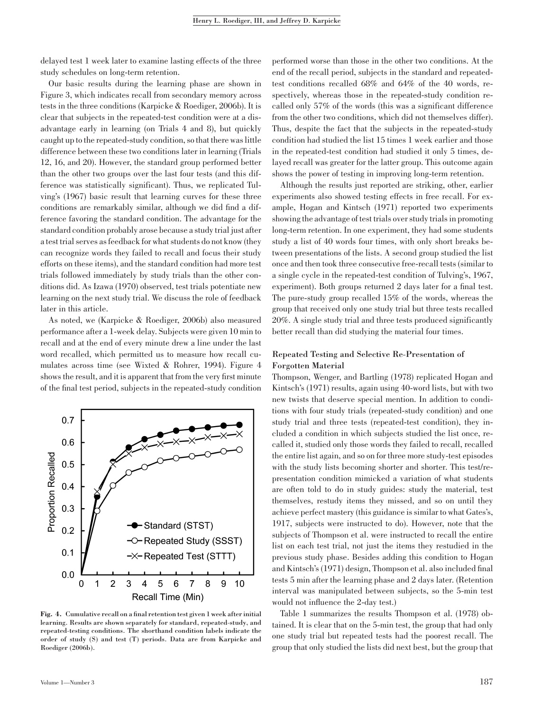delayed test 1 week later to examine lasting effects of the three study schedules on long-term retention.

Our basic results during the learning phase are shown in Figure 3, which indicates recall from secondary memory across tests in the three conditions (Karpicke & Roediger, 2006b). It is clear that subjects in the repeated-test condition were at a disadvantage early in learning (on Trials 4 and 8), but quickly caught up to the repeated-study condition, so that there was little difference between these two conditions later in learning (Trials 12, 16, and 20). However, the standard group performed better than the other two groups over the last four tests (and this difference was statistically significant). Thus, we replicated Tulving's (1967) basic result that learning curves for these three conditions are remarkably similar, although we did find a difference favoring the standard condition. The advantage for the standard condition probably arose because a study trial just after a test trial serves as feedback for what students do not know (they can recognize words they failed to recall and focus their study efforts on these items), and the standard condition had more test trials followed immediately by study trials than the other conditions did. As Izawa (1970) observed, test trials potentiate new learning on the next study trial. We discuss the role of feedback later in this article.

As noted, we (Karpicke & Roediger, 2006b) also measured performance after a 1-week delay. Subjects were given 10 min to recall and at the end of every minute drew a line under the last word recalled, which permitted us to measure how recall cumulates across time (see Wixted & Rohrer, 1994). Figure 4 shows the result, and it is apparent that from the very first minute of the final test period, subjects in the repeated-study condition



Fig. 4. Cumulative recall on a final retention test given 1 week after initial learning. Results are shown separately for standard, repeated-study, and repeated-testing conditions. The shorthand condition labels indicate the order of study (S) and test (T) periods. Data are from Karpicke and Roediger (2006b).

performed worse than those in the other two conditions. At the end of the recall period, subjects in the standard and repeatedtest conditions recalled 68% and 64% of the 40 words, respectively, whereas those in the repeated-study condition recalled only 57% of the words (this was a significant difference from the other two conditions, which did not themselves differ). Thus, despite the fact that the subjects in the repeated-study condition had studied the list 15 times 1 week earlier and those in the repeated-test condition had studied it only 5 times, delayed recall was greater for the latter group. This outcome again shows the power of testing in improving long-term retention.

Although the results just reported are striking, other, earlier experiments also showed testing effects in free recall. For example, Hogan and Kintsch (1971) reported two experiments showing the advantage of test trials over study trials in promoting long-term retention. In one experiment, they had some students study a list of 40 words four times, with only short breaks between presentations of the lists. A second group studied the list once and then took three consecutive free-recall tests (similar to a single cycle in the repeated-test condition of Tulving's, 1967, experiment). Both groups returned 2 days later for a final test. The pure-study group recalled 15% of the words, whereas the group that received only one study trial but three tests recalled 20%. A single study trial and three tests produced significantly better recall than did studying the material four times.

# Repeated Testing and Selective Re-Presentation of Forgotten Material

Thompson, Wenger, and Bartling (1978) replicated Hogan and Kintsch's (1971) results, again using 40-word lists, but with two new twists that deserve special mention. In addition to conditions with four study trials (repeated-study condition) and one study trial and three tests (repeated-test condition), they included a condition in which subjects studied the list once, recalled it, studied only those words they failed to recall, recalled the entire list again, and so on for three more study-test episodes with the study lists becoming shorter and shorter. This test/representation condition mimicked a variation of what students are often told to do in study guides: study the material, test themselves, restudy items they missed, and so on until they achieve perfect mastery (this guidance is similar to what Gates's, 1917, subjects were instructed to do). However, note that the subjects of Thompson et al. were instructed to recall the entire list on each test trial, not just the items they restudied in the previous study phase. Besides adding this condition to Hogan and Kintsch's (1971) design, Thompson et al. also included final tests 5 min after the learning phase and 2 days later. (Retention interval was manipulated between subjects, so the 5-min test would not influence the 2-day test.)

Table 1 summarizes the results Thompson et al. (1978) obtained. It is clear that on the 5-min test, the group that had only one study trial but repeated tests had the poorest recall. The group that only studied the lists did next best, but the group that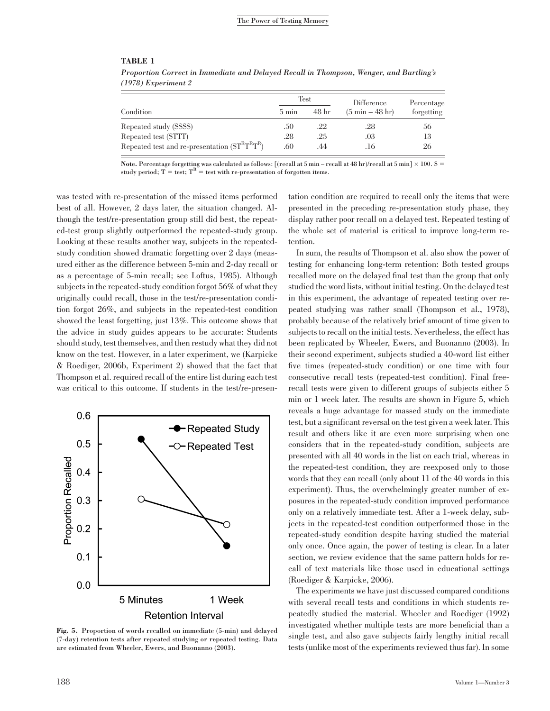## TABLE 1

|                                               |                 | Test  | Difference                        | Percentage |
|-----------------------------------------------|-----------------|-------|-----------------------------------|------------|
| Condition                                     | $5 \text{ min}$ | 48 hr | $(5 \text{ min} - 48 \text{ hr})$ | forgetting |
| Repeated study (SSSS)                         | .50             | .22   | .28                               | 56         |
| Repeated test (STTT)                          | .28             | .25   | .03                               | 13         |
| Repeated test and re-presentation $(STRTRTR)$ | .60             | .44   | .16                               | 26         |

Proportion Correct in Immediate and Delayed Recall in Thompson, Wenger, and Bartling's (1978) Experiment 2

Note. Percentage forgetting was calculated as follows: [(recall at 5 min – recall at 48 hr)/recall at 5 min]  $\times$  100. S = study period;  $T = test$ ;  $T<sup>R</sup> = test$  with re-presentation of forgotten items.

was tested with re-presentation of the missed items performed best of all. However, 2 days later, the situation changed. Although the test/re-presentation group still did best, the repeated-test group slightly outperformed the repeated-study group. Looking at these results another way, subjects in the repeatedstudy condition showed dramatic forgetting over 2 days (measured either as the difference between 5-min and 2-day recall or as a percentage of 5-min recall; see Loftus, 1985). Although subjects in the repeated-study condition forgot 56% of what they originally could recall, those in the test/re-presentation condition forgot 26%, and subjects in the repeated-test condition showed the least forgetting, just 13%. This outcome shows that the advice in study guides appears to be accurate: Students should study, test themselves, and then restudy what they did not know on the test. However, in a later experiment, we (Karpicke & Roediger, 2006b, Experiment 2) showed that the fact that Thompson et al. required recall of the entire list during each test was critical to this outcome. If students in the test/re-presen-



Fig. 5. Proportion of words recalled on immediate (5-min) and delayed (7-day) retention tests after repeated studying or repeated testing. Data are estimated from Wheeler, Ewers, and Buonanno (2003).

tation condition are required to recall only the items that were presented in the preceding re-presentation study phase, they display rather poor recall on a delayed test. Repeated testing of the whole set of material is critical to improve long-term retention.

In sum, the results of Thompson et al. also show the power of testing for enhancing long-term retention: Both tested groups recalled more on the delayed final test than the group that only studied the word lists, without initial testing. On the delayed test in this experiment, the advantage of repeated testing over repeated studying was rather small (Thompson et al., 1978), probably because of the relatively brief amount of time given to subjects to recall on the initial tests. Nevertheless, the effect has been replicated by Wheeler, Ewers, and Buonanno (2003). In their second experiment, subjects studied a 40-word list either five times (repeated-study condition) or one time with four consecutive recall tests (repeated-test condition). Final freerecall tests were given to different groups of subjects either 5 min or 1 week later. The results are shown in Figure 5, which reveals a huge advantage for massed study on the immediate test, but a significant reversal on the test given a week later. This result and others like it are even more surprising when one considers that in the repeated-study condition, subjects are presented with all 40 words in the list on each trial, whereas in the repeated-test condition, they are reexposed only to those words that they can recall (only about 11 of the 40 words in this experiment). Thus, the overwhelmingly greater number of exposures in the repeated-study condition improved performance only on a relatively immediate test. After a 1-week delay, subjects in the repeated-test condition outperformed those in the repeated-study condition despite having studied the material only once. Once again, the power of testing is clear. In a later section, we review evidence that the same pattern holds for recall of text materials like those used in educational settings (Roediger & Karpicke, 2006).

The experiments we have just discussed compared conditions with several recall tests and conditions in which students repeatedly studied the material. Wheeler and Roediger (1992) investigated whether multiple tests are more beneficial than a single test, and also gave subjects fairly lengthy initial recall tests (unlike most of the experiments reviewed thus far). In some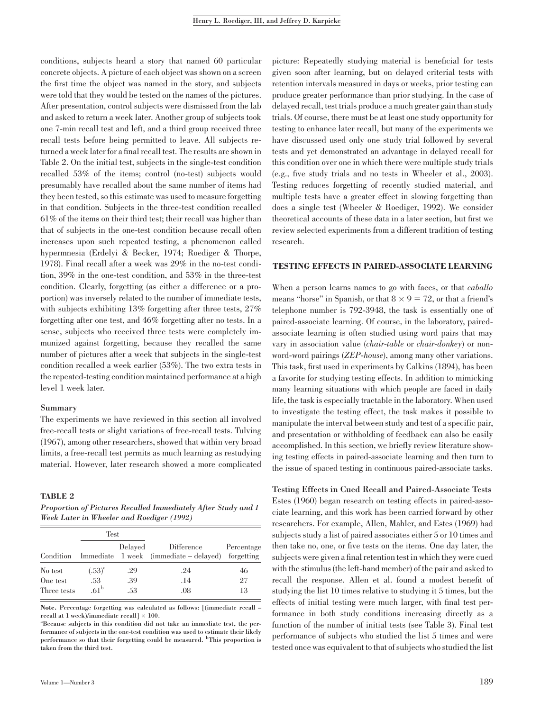conditions, subjects heard a story that named 60 particular concrete objects. A picture of each object was shown on a screen the first time the object was named in the story, and subjects were told that they would be tested on the names of the pictures. After presentation, control subjects were dismissed from the lab and asked to return a week later. Another group of subjects took one 7-min recall test and left, and a third group received three recall tests before being permitted to leave. All subjects returned a week later for a final recall test. The results are shown in Table 2. On the initial test, subjects in the single-test condition recalled 53% of the items; control (no-test) subjects would presumably have recalled about the same number of items had they been tested, so this estimate was used to measure forgetting in that condition. Subjects in the three-test condition recalled 61% of the items on their third test; their recall was higher than that of subjects in the one-test condition because recall often increases upon such repeated testing, a phenomenon called hypermnesia (Erdelyi & Becker, 1974; Roediger & Thorpe, 1978). Final recall after a week was 29% in the no-test condition, 39% in the one-test condition, and 53% in the three-test condition. Clearly, forgetting (as either a difference or a proportion) was inversely related to the number of immediate tests, with subjects exhibiting 13% forgetting after three tests, 27% forgetting after one test, and 46% forgetting after no tests. In a sense, subjects who received three tests were completely immunized against forgetting, because they recalled the same number of pictures after a week that subjects in the single-test condition recalled a week earlier (53%). The two extra tests in the repeated-testing condition maintained performance at a high level 1 week later.

## Summary

The experiments we have reviewed in this section all involved free-recall tests or slight variations of free-recall tests. Tulving (1967), among other researchers, showed that within very broad limits, a free-recall test permits as much learning as restudying material. However, later research showed a more complicated

## TABLE 2

Proportion of Pictures Recalled Immediately After Study and 1 Week Later in Wheeler and Roediger (1992)

|                         | Test                    |            |                                                      |                          |  |
|-------------------------|-------------------------|------------|------------------------------------------------------|--------------------------|--|
| Condition               |                         | Delaved    | Difference<br>Immediate 1 week (immediate – delayed) | Percentage<br>forgetting |  |
| No test                 | $(.53)^{a}$             | .29        | .24                                                  | 46                       |  |
| One test<br>Three tests | .53<br>.61 <sup>b</sup> | .39<br>.53 | .14<br>.08                                           | 27<br>13                 |  |
|                         |                         |            |                                                      |                          |  |

Note. Percentage forgetting was calculated as follows: [(immediate recall – recall at 1 week)/immediate recall  $1 \times 100$ .

Because subjects in this condition did not take an immediate test, the performance of subjects in the one-test condition was used to estimate their likely performance so that their forgetting could be measured. <sup>b</sup>This proportion is taken from the third test.

picture: Repeatedly studying material is beneficial for tests given soon after learning, but on delayed criterial tests with retention intervals measured in days or weeks, prior testing can produce greater performance than prior studying. In the case of delayed recall, test trials produce a much greater gain than study trials. Of course, there must be at least one study opportunity for testing to enhance later recall, but many of the experiments we have discussed used only one study trial followed by several tests and yet demonstrated an advantage in delayed recall for this condition over one in which there were multiple study trials (e.g., five study trials and no tests in Wheeler et al., 2003). Testing reduces forgetting of recently studied material, and multiple tests have a greater effect in slowing forgetting than does a single test (Wheeler & Roediger, 1992). We consider theoretical accounts of these data in a later section, but first we review selected experiments from a different tradition of testing research.

# TESTING EFFECTS IN PAIRED-ASSOCIATE LEARNING

When a person learns names to go with faces, or that *caballo* means "horse" in Spanish, or that  $8 \times 9 = 72$ , or that a friend's telephone number is 792-3948, the task is essentially one of paired-associate learning. Of course, in the laboratory, pairedassociate learning is often studied using word pairs that may vary in association value (*chair-table* or *chair-donkey*) or nonword-word pairings (*ZEP-house*), among many other variations. This task, first used in experiments by Calkins (1894), has been a favorite for studying testing effects. In addition to mimicking many learning situations with which people are faced in daily life, the task is especially tractable in the laboratory. When used to investigate the testing effect, the task makes it possible to manipulate the interval between study and test of a specific pair, and presentation or withholding of feedback can also be easily accomplished. In this section, we briefly review literature showing testing effects in paired-associate learning and then turn to the issue of spaced testing in continuous paired-associate tasks.

Testing Effects in Cued Recall and Paired-Associate Tests Estes (1960) began research on testing effects in paired-associate learning, and this work has been carried forward by other researchers. For example, Allen, Mahler, and Estes (1969) had subjects study a list of paired associates either 5 or 10 times and then take no, one, or five tests on the items. One day later, the subjects were given a final retention test in which they were cued with the stimulus (the left-hand member) of the pair and asked to recall the response. Allen et al. found a modest benefit of studying the list 10 times relative to studying it 5 times, but the effects of initial testing were much larger, with final test performance in both study conditions increasing directly as a function of the number of initial tests (see Table 3). Final test performance of subjects who studied the list 5 times and were tested once was equivalent to that of subjects who studied the list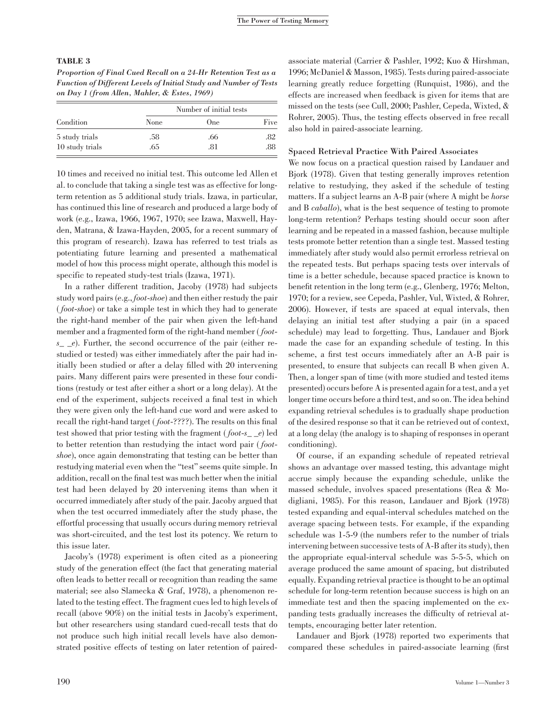## TABLE 3

Proportion of Final Cued Recall on a 24-Hr Retention Test as a Function of Different Levels of Initial Study and Number of Tests on Day 1 (from Allen, Mahler, & Estes, 1969)

| Condition       | Number of initial tests |            |      |  |
|-----------------|-------------------------|------------|------|--|
|                 | None                    | <b>One</b> | Five |  |
| 5 study trials  | .58                     | .66        | .82  |  |
| 10 study trials | .65                     | .81        | .88  |  |

10 times and received no initial test. This outcome led Allen et al. to conclude that taking a single test was as effective for longterm retention as 5 additional study trials. Izawa, in particular, has continued this line of research and produced a large body of work (e.g., Izawa, 1966, 1967, 1970; see Izawa, Maxwell, Hayden, Matrana, & Izawa-Hayden, 2005, for a recent summary of this program of research). Izawa has referred to test trials as potentiating future learning and presented a mathematical model of how this process might operate, although this model is specific to repeated study-test trials (Izawa, 1971).

In a rather different tradition, Jacoby (1978) had subjects study word pairs (e.g., foot-shoe) and then either restudy the pair ( foot-shoe) or take a simple test in which they had to generate the right-hand member of the pair when given the left-hand member and a fragmented form of the right-hand member (foot $s_{-}$   $-e$ ). Further, the second occurrence of the pair (either restudied or tested) was either immediately after the pair had initially been studied or after a delay filled with 20 intervening pairs. Many different pairs were presented in these four conditions (restudy or test after either a short or a long delay). At the end of the experiment, subjects received a final test in which they were given only the left-hand cue word and were asked to recall the right-hand target (*foot-????*). The results on this final test showed that prior testing with the fragment ( $foot-s$ <sub>- $e$ </sub>) led to better retention than restudying the intact word pair (footshoe), once again demonstrating that testing can be better than restudying material even when the "test" seems quite simple. In addition, recall on the final test was much better when the initial test had been delayed by 20 intervening items than when it occurred immediately after study of the pair. Jacoby argued that when the test occurred immediately after the study phase, the effortful processing that usually occurs during memory retrieval was short-circuited, and the test lost its potency. We return to this issue later.

Jacoby's (1978) experiment is often cited as a pioneering study of the generation effect (the fact that generating material often leads to better recall or recognition than reading the same material; see also Slamecka & Graf, 1978), a phenomenon related to the testing effect. The fragment cues led to high levels of recall (above 90%) on the initial tests in Jacoby's experiment, but other researchers using standard cued-recall tests that do not produce such high initial recall levels have also demonstrated positive effects of testing on later retention of pairedassociate material (Carrier & Pashler, 1992; Kuo & Hirshman, 1996; McDaniel & Masson, 1985). Tests during paired-associate learning greatly reduce forgetting (Runquist, 1986), and the effects are increased when feedback is given for items that are missed on the tests (see Cull, 2000; Pashler, Cepeda, Wixted, & Rohrer, 2005). Thus, the testing effects observed in free recall also hold in paired-associate learning.

## Spaced Retrieval Practice With Paired Associates

We now focus on a practical question raised by Landauer and Bjork (1978). Given that testing generally improves retention relative to restudying, they asked if the schedule of testing matters. If a subject learns an A-B pair (where A might be horse and B caballo), what is the best sequence of testing to promote long-term retention? Perhaps testing should occur soon after learning and be repeated in a massed fashion, because multiple tests promote better retention than a single test. Massed testing immediately after study would also permit errorless retrieval on the repeated tests. But perhaps spacing tests over intervals of time is a better schedule, because spaced practice is known to benefit retention in the long term (e.g., Glenberg, 1976; Melton, 1970; for a review, see Cepeda, Pashler, Vul, Wixted, & Rohrer, 2006). However, if tests are spaced at equal intervals, then delaying an initial test after studying a pair (in a spaced schedule) may lead to forgetting. Thus, Landauer and Bjork made the case for an expanding schedule of testing. In this scheme, a first test occurs immediately after an A-B pair is presented, to ensure that subjects can recall B when given A. Then, a longer span of time (with more studied and tested items presented) occurs before A is presented again for a test, and a yet longer time occurs before a third test, and so on. The idea behind expanding retrieval schedules is to gradually shape production of the desired response so that it can be retrieved out of context, at a long delay (the analogy is to shaping of responses in operant conditioning).

Of course, if an expanding schedule of repeated retrieval shows an advantage over massed testing, this advantage might accrue simply because the expanding schedule, unlike the massed schedule, involves spaced presentations (Rea & Modigliani, 1985). For this reason, Landauer and Bjork (1978) tested expanding and equal-interval schedules matched on the average spacing between tests. For example, if the expanding schedule was 1-5-9 (the numbers refer to the number of trials intervening between successive tests of A-B after its study), then the appropriate equal-interval schedule was 5-5-5, which on average produced the same amount of spacing, but distributed equally. Expanding retrieval practice is thought to be an optimal schedule for long-term retention because success is high on an immediate test and then the spacing implemented on the expanding tests gradually increases the difficulty of retrieval attempts, encouraging better later retention.

Landauer and Bjork (1978) reported two experiments that compared these schedules in paired-associate learning (first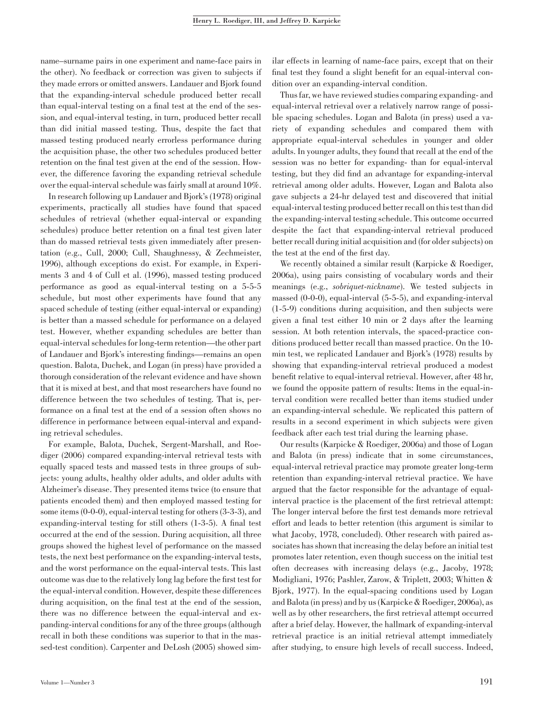name–surname pairs in one experiment and name-face pairs in the other). No feedback or correction was given to subjects if they made errors or omitted answers. Landauer and Bjork found that the expanding-interval schedule produced better recall than equal-interval testing on a final test at the end of the session, and equal-interval testing, in turn, produced better recall than did initial massed testing. Thus, despite the fact that massed testing produced nearly errorless performance during the acquisition phase, the other two schedules produced better retention on the final test given at the end of the session. However, the difference favoring the expanding retrieval schedule over the equal-interval schedule was fairly small at around 10%.

In research following up Landauer and Bjork's (1978) original experiments, practically all studies have found that spaced schedules of retrieval (whether equal-interval or expanding schedules) produce better retention on a final test given later than do massed retrieval tests given immediately after presentation (e.g., Cull, 2000; Cull, Shaughnessy, & Zechmeister, 1996), although exceptions do exist. For example, in Experiments 3 and 4 of Cull et al. (1996), massed testing produced performance as good as equal-interval testing on a 5-5-5 schedule, but most other experiments have found that any spaced schedule of testing (either equal-interval or expanding) is better than a massed schedule for performance on a delayed test. However, whether expanding schedules are better than equal-interval schedules for long-term retention—the other part of Landauer and Bjork's interesting findings—remains an open question. Balota, Duchek, and Logan (in press) have provided a thorough consideration of the relevant evidence and have shown that it is mixed at best, and that most researchers have found no difference between the two schedules of testing. That is, performance on a final test at the end of a session often shows no difference in performance between equal-interval and expanding retrieval schedules.

For example, Balota, Duchek, Sergent-Marshall, and Roediger (2006) compared expanding-interval retrieval tests with equally spaced tests and massed tests in three groups of subjects: young adults, healthy older adults, and older adults with Alzheimer's disease. They presented items twice (to ensure that patients encoded them) and then employed massed testing for some items (0-0-0), equal-interval testing for others (3-3-3), and expanding-interval testing for still others (1-3-5). A final test occurred at the end of the session. During acquisition, all three groups showed the highest level of performance on the massed tests, the next best performance on the expanding-interval tests, and the worst performance on the equal-interval tests. This last outcome was due to the relatively long lag before the first test for the equal-interval condition. However, despite these differences during acquisition, on the final test at the end of the session, there was no difference between the equal-interval and expanding-interval conditions for any of the three groups (although recall in both these conditions was superior to that in the massed-test condition). Carpenter and DeLosh (2005) showed sim-

ilar effects in learning of name-face pairs, except that on their final test they found a slight benefit for an equal-interval condition over an expanding-interval condition.

Thus far, we have reviewed studies comparing expanding- and equal-interval retrieval over a relatively narrow range of possible spacing schedules. Logan and Balota (in press) used a variety of expanding schedules and compared them with appropriate equal-interval schedules in younger and older adults. In younger adults, they found that recall at the end of the session was no better for expanding- than for equal-interval testing, but they did find an advantage for expanding-interval retrieval among older adults. However, Logan and Balota also gave subjects a 24-hr delayed test and discovered that initial equal-interval testing produced better recall on this test than did the expanding-interval testing schedule. This outcome occurred despite the fact that expanding-interval retrieval produced better recall during initial acquisition and (for older subjects) on the test at the end of the first day.

We recently obtained a similar result (Karpicke & Roediger, 2006a), using pairs consisting of vocabulary words and their meanings (e.g., sobriquet-nickname). We tested subjects in massed (0-0-0), equal-interval (5-5-5), and expanding-interval (1-5-9) conditions during acquisition, and then subjects were given a final test either 10 min or 2 days after the learning session. At both retention intervals, the spaced-practice conditions produced better recall than massed practice. On the 10 min test, we replicated Landauer and Bjork's (1978) results by showing that expanding-interval retrieval produced a modest benefit relative to equal-interval retrieval. However, after 48 hr, we found the opposite pattern of results: Items in the equal-interval condition were recalled better than items studied under an expanding-interval schedule. We replicated this pattern of results in a second experiment in which subjects were given feedback after each test trial during the learning phase.

Our results (Karpicke & Roediger, 2006a) and those of Logan and Balota (in press) indicate that in some circumstances, equal-interval retrieval practice may promote greater long-term retention than expanding-interval retrieval practice. We have argued that the factor responsible for the advantage of equalinterval practice is the placement of the first retrieval attempt: The longer interval before the first test demands more retrieval effort and leads to better retention (this argument is similar to what Jacoby, 1978, concluded). Other research with paired associates has shown that increasing the delay before an initial test promotes later retention, even though success on the initial test often decreases with increasing delays (e.g., Jacoby, 1978; Modigliani, 1976; Pashler, Zarow, & Triplett, 2003; Whitten & Bjork, 1977). In the equal-spacing conditions used by Logan and Balota (in press) and by us (Karpicke & Roediger, 2006a), as well as by other researchers, the first retrieval attempt occurred after a brief delay. However, the hallmark of expanding-interval retrieval practice is an initial retrieval attempt immediately after studying, to ensure high levels of recall success. Indeed,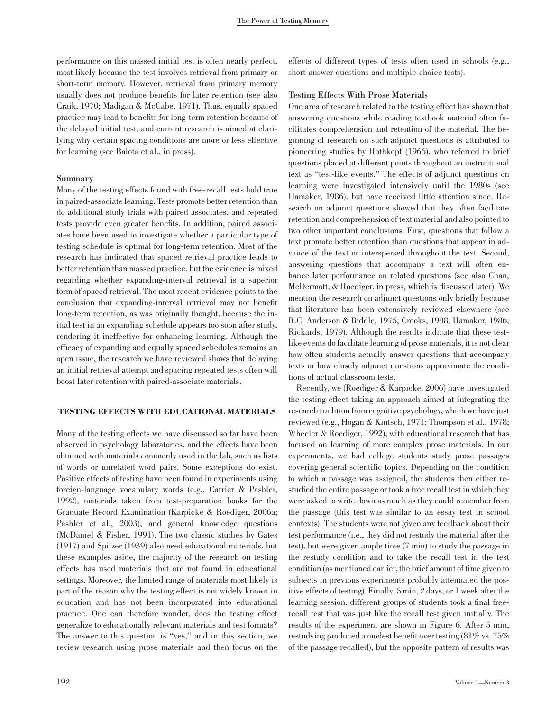performance on this massed initial test is often nearly perfect, most likely because the test involves retrieval from primary or short-term memory. However, retrieval from primary memory usually does not produce benefits for later retention (see also Craik, 1970; Madigan & McCabe, 1971). Thus, equally spaced practice may lead to benefits for long-term retention because of the delayed initial test, and current research is aimed at clarifying why certain spacing conditions are more or less effective for learning (see Balota et al., in press).

## Summary

Many of the testing effects found with free-recall tests hold true in paired-associate learning. Tests promote better retention than do additional study trials with paired associates, and repeated tests provide even greater benefits. In addition, paired associates have been used to investigate whether a particular type of testing schedule is optimal for long-term retention. Most of the research has indicated that spaced retrieval practice leads to better retention than massed practice, but the evidence is mixed regarding whether expanding-interval retrieval is a superior form of spaced retrieval. The most recent evidence points to the conclusion that expanding-interval retrieval may not benefit long-term retention, as was originally thought, because the initial test in an expanding schedule appears too soon after study, rendering it ineffective for enhancing learning. Although the efficacy of expanding and equally spaced schedules remains an open issue, the research we have reviewed shows that delaying an initial retrieval attempt and spacing repeated tests often will boost later retention with paired-associate materials.

# TESTING EFFECTS WITH EDUCATIONAL MATERIALS

Many of the testing effects we have discussed so far have been observed in psychology laboratories, and the effects have been obtained with materials commonly used in the lab, such as lists of words or unrelated word pairs. Some exceptions do exist. Positive effects of testing have been found in experiments using foreign-language vocabulary words (e.g., Carrier & Pashler, 1992), materials taken from test-preparation books for the Graduate Record Examination (Karpicke & Roediger, 2006a; Pashler et al., 2003), and general knowledge questions (McDaniel & Fisher, 1991). The two classic studies by Gates (1917) and Spitzer (1939) also used educational materials, but these examples aside, the majority of the research on testing effects has used materials that are not found in educational settings. Moreover, the limited range of materials most likely is part of the reason why the testing effect is not widely known in education and has not been incorporated into educational practice. One can therefore wonder, does the testing effect generalize to educationally relevant materials and test formats? The answer to this question is "yes," and in this section, we review research using prose materials and then focus on the

effects of different types of tests often used in schools (e.g., short-answer questions and multiple-choice tests).

# Testing Effects With Prose Materials

One area of research related to the testing effect has shown that answering questions while reading textbook material often facilitates comprehension and retention of the material. The beginning of research on such adjunct questions is attributed to pioneering studies by Rothkopf (1966), who referred to brief questions placed at different points throughout an instructional text as ''test-like events.'' The effects of adjunct questions on learning were investigated intensively until the 1980s (see Hamaker, 1986), but have received little attention since. Research on adjunct questions showed that they often facilitate retention and comprehension of text material and also pointed to two other important conclusions. First, questions that follow a text promote better retention than questions that appear in advance of the text or interspersed throughout the text. Second, answering questions that accompany a text will often enhance later performance on related questions (see also Chan, McDermott, & Roediger, in press, which is discussed later). We mention the research on adjunct questions only briefly because that literature has been extensively reviewed elsewhere (see R.C. Anderson & Biddle, 1975; Crooks, 1988; Hamaker, 1986; Rickards, 1979). Although the results indicate that these testlike events do facilitate learning of prose materials, it is not clear how often students actually answer questions that accompany texts or how closely adjunct questions approximate the conditions of actual classroom tests.

Recently, we (Roediger & Karpicke, 2006) have investigated the testing effect taking an approach aimed at integrating the research tradition from cognitive psychology, which we have just reviewed (e.g., Hogan & Kintsch, 1971; Thompson et al., 1978; Wheeler & Roediger, 1992), with educational research that has focused on learning of more complex prose materials. In our experiments, we had college students study prose passages covering general scientific topics. Depending on the condition to which a passage was assigned, the students then either restudied the entire passage or took a free recall test in which they were asked to write down as much as they could remember from the passage (this test was similar to an essay test in school contexts). The students were not given any feedback about their test performance (i.e., they did not restudy the material after the test), but were given ample time (7 min) to study the passage in the restudy condition and to take the recall test in the test condition (as mentioned earlier, the brief amount of time given to subjects in previous experiments probably attenuated the positive effects of testing). Finally, 5 min, 2 days, or 1 week after the learning session, different groups of students took a final freerecall test that was just like the recall test given initially. The results of the experiment are shown in Figure 6. After 5 min, restudying produced a modest benefit over testing (81% vs. 75% of the passage recalled), but the opposite pattern of results was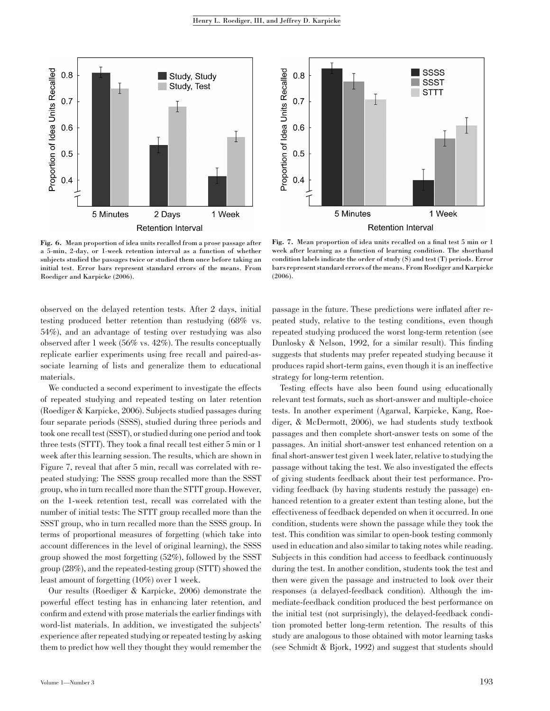

Fig. 6. Mean proportion of idea units recalled from a prose passage after a 5-min, 2-day, or 1-week retention interval as a function of whether subjects studied the passages twice or studied them once before taking an initial test. Error bars represent standard errors of the means. From Roediger and Karpicke (2006).



Fig. 7. Mean proportion of idea units recalled on a final test 5 min or 1 week after learning as a function of learning condition. The shorthand condition labels indicate the order of study (S) and test (T) periods. Error bars represent standard errors of the means. From Roediger and Karpicke (2006).

observed on the delayed retention tests. After 2 days, initial testing produced better retention than restudying (68% vs. 54%), and an advantage of testing over restudying was also observed after 1 week (56% vs. 42%). The results conceptually replicate earlier experiments using free recall and paired-associate learning of lists and generalize them to educational materials.

We conducted a second experiment to investigate the effects of repeated studying and repeated testing on later retention (Roediger & Karpicke, 2006). Subjects studied passages during four separate periods (SSSS), studied during three periods and took one recall test (SSST), or studied during one period and took three tests (STTT). They took a final recall test either 5 min or 1 week after this learning session. The results, which are shown in Figure 7, reveal that after 5 min, recall was correlated with repeated studying: The SSSS group recalled more than the SSST group, who in turn recalled more than the STTT group. However, on the 1-week retention test, recall was correlated with the number of initial tests: The STTT group recalled more than the SSST group, who in turn recalled more than the SSSS group. In terms of proportional measures of forgetting (which take into account differences in the level of original learning), the SSSS group showed the most forgetting (52%), followed by the SSST group (28%), and the repeated-testing group (STTT) showed the least amount of forgetting (10%) over 1 week.

Our results (Roediger & Karpicke, 2006) demonstrate the powerful effect testing has in enhancing later retention, and confirm and extend with prose materials the earlier findings with word-list materials. In addition, we investigated the subjects' experience after repeated studying or repeated testing by asking them to predict how well they thought they would remember the

passage in the future. These predictions were inflated after repeated study, relative to the testing conditions, even though repeated studying produced the worst long-term retention (see Dunlosky & Nelson, 1992, for a similar result). This finding suggests that students may prefer repeated studying because it produces rapid short-term gains, even though it is an ineffective strategy for long-term retention.

Testing effects have also been found using educationally relevant test formats, such as short-answer and multiple-choice tests. In another experiment (Agarwal, Karpicke, Kang, Roediger, & McDermott, 2006), we had students study textbook passages and then complete short-answer tests on some of the passages. An initial short-answer test enhanced retention on a final short-answer test given 1 week later, relative to studying the passage without taking the test. We also investigated the effects of giving students feedback about their test performance. Providing feedback (by having students restudy the passage) enhanced retention to a greater extent than testing alone, but the effectiveness of feedback depended on when it occurred. In one condition, students were shown the passage while they took the test. This condition was similar to open-book testing commonly used in education and also similar to taking notes while reading. Subjects in this condition had access to feedback continuously during the test. In another condition, students took the test and then were given the passage and instructed to look over their responses (a delayed-feedback condition). Although the immediate-feedback condition produced the best performance on the initial test (not surprisingly), the delayed-feedback condition promoted better long-term retention. The results of this study are analogous to those obtained with motor learning tasks (see Schmidt & Bjork, 1992) and suggest that students should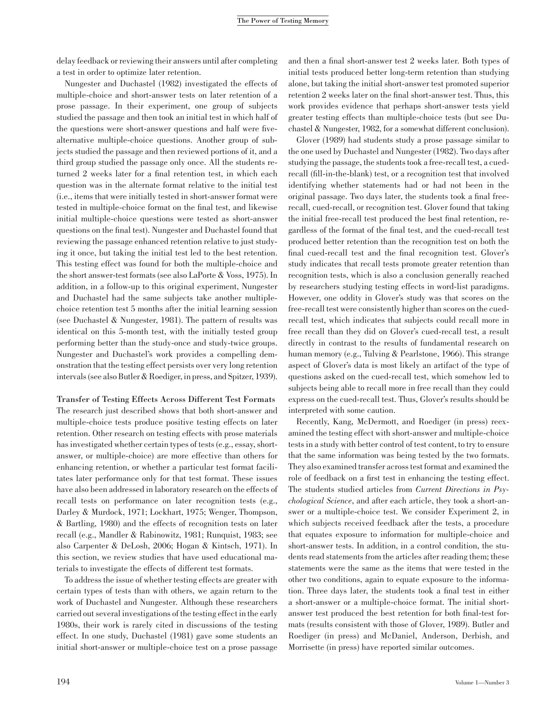delay feedback or reviewing their answers until after completing a test in order to optimize later retention.

Nungester and Duchastel (1982) investigated the effects of multiple-choice and short-answer tests on later retention of a prose passage. In their experiment, one group of subjects studied the passage and then took an initial test in which half of the questions were short-answer questions and half were fivealternative multiple-choice questions. Another group of subjects studied the passage and then reviewed portions of it, and a third group studied the passage only once. All the students returned 2 weeks later for a final retention test, in which each question was in the alternate format relative to the initial test (i.e., items that were initially tested in short-answer format were tested in multiple-choice format on the final test, and likewise initial multiple-choice questions were tested as short-answer questions on the final test). Nungester and Duchastel found that reviewing the passage enhanced retention relative to just studying it once, but taking the initial test led to the best retention. This testing effect was found for both the multiple-choice and the short answer-test formats (see also LaPorte & Voss, 1975). In addition, in a follow-up to this original experiment, Nungester and Duchastel had the same subjects take another multiplechoice retention test 5 months after the initial learning session (see Duchastel & Nungester, 1981). The pattern of results was identical on this 5-month test, with the initially tested group performing better than the study-once and study-twice groups. Nungester and Duchastel's work provides a compelling demonstration that the testing effect persists over very long retention intervals (see also Butler & Roediger, in press, and Spitzer, 1939).

# Transfer of Testing Effects Across Different Test Formats

The research just described shows that both short-answer and multiple-choice tests produce positive testing effects on later retention. Other research on testing effects with prose materials has investigated whether certain types of tests (e.g., essay, shortanswer, or multiple-choice) are more effective than others for enhancing retention, or whether a particular test format facilitates later performance only for that test format. These issues have also been addressed in laboratory research on the effects of recall tests on performance on later recognition tests (e.g., Darley & Murdock, 1971; Lockhart, 1975; Wenger, Thompson, & Bartling, 1980) and the effects of recognition tests on later recall (e.g., Mandler & Rabinowitz, 1981; Runquist, 1983; see also Carpenter & DeLosh, 2006; Hogan & Kintsch, 1971). In this section, we review studies that have used educational materials to investigate the effects of different test formats.

To address the issue of whether testing effects are greater with certain types of tests than with others, we again return to the work of Duchastel and Nungester. Although these researchers carried out several investigations of the testing effect in the early 1980s, their work is rarely cited in discussions of the testing effect. In one study, Duchastel (1981) gave some students an initial short-answer or multiple-choice test on a prose passage

and then a final short-answer test 2 weeks later. Both types of initial tests produced better long-term retention than studying alone, but taking the initial short-answer test promoted superior retention 2 weeks later on the final short-answer test. Thus, this work provides evidence that perhaps short-answer tests yield greater testing effects than multiple-choice tests (but see Duchastel & Nungester, 1982, for a somewhat different conclusion).

Glover (1989) had students study a prose passage similar to the one used by Duchastel and Nungester (1982). Two days after studying the passage, the students took a free-recall test, a cuedrecall (fill-in-the-blank) test, or a recognition test that involved identifying whether statements had or had not been in the original passage. Two days later, the students took a final freerecall, cued-recall, or recognition test. Glover found that taking the initial free-recall test produced the best final retention, regardless of the format of the final test, and the cued-recall test produced better retention than the recognition test on both the final cued-recall test and the final recognition test. Glover's study indicates that recall tests promote greater retention than recognition tests, which is also a conclusion generally reached by researchers studying testing effects in word-list paradigms. However, one oddity in Glover's study was that scores on the free-recall test were consistently higher than scores on the cuedrecall test, which indicates that subjects could recall more in free recall than they did on Glover's cued-recall test, a result directly in contrast to the results of fundamental research on human memory (e.g., Tulving & Pearlstone, 1966). This strange aspect of Glover's data is most likely an artifact of the type of questions asked on the cued-recall test, which somehow led to subjects being able to recall more in free recall than they could express on the cued-recall test. Thus, Glover's results should be interpreted with some caution.

Recently, Kang, McDermott, and Roediger (in press) reexamined the testing effect with short-answer and multiple-choice tests in a study with better control of test content, to try to ensure that the same information was being tested by the two formats. They also examined transfer across test format and examined the role of feedback on a first test in enhancing the testing effect. The students studied articles from Current Directions in Psychological Science, and after each article, they took a short-answer or a multiple-choice test. We consider Experiment 2, in which subjects received feedback after the tests, a procedure that equates exposure to information for multiple-choice and short-answer tests. In addition, in a control condition, the students read statements from the articles after reading them; these statements were the same as the items that were tested in the other two conditions, again to equate exposure to the information. Three days later, the students took a final test in either a short-answer or a multiple-choice format. The initial shortanswer test produced the best retention for both final-test formats (results consistent with those of Glover, 1989). Butler and Roediger (in press) and McDaniel, Anderson, Derbish, and Morrisette (in press) have reported similar outcomes.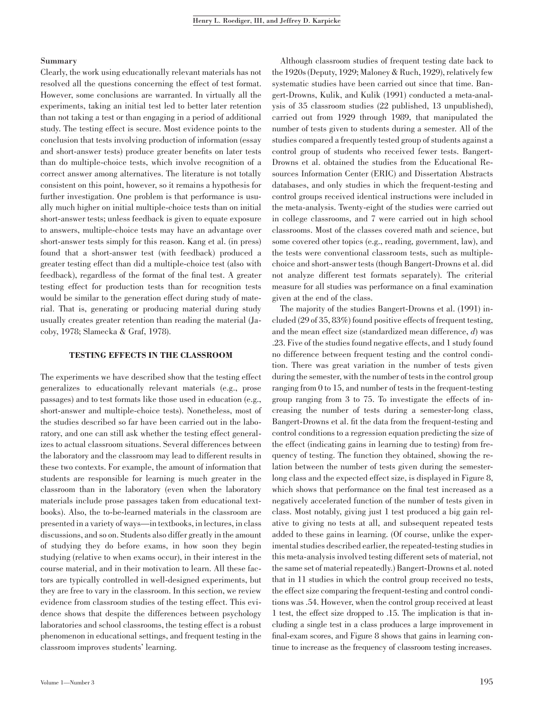# Summary

Clearly, the work using educationally relevant materials has not resolved all the questions concerning the effect of test format. However, some conclusions are warranted. In virtually all the experiments, taking an initial test led to better later retention than not taking a test or than engaging in a period of additional study. The testing effect is secure. Most evidence points to the conclusion that tests involving production of information (essay and short-answer tests) produce greater benefits on later tests than do multiple-choice tests, which involve recognition of a correct answer among alternatives. The literature is not totally consistent on this point, however, so it remains a hypothesis for further investigation. One problem is that performance is usually much higher on initial multiple-choice tests than on initial short-answer tests; unless feedback is given to equate exposure to answers, multiple-choice tests may have an advantage over short-answer tests simply for this reason. Kang et al. (in press) found that a short-answer test (with feedback) produced a greater testing effect than did a multiple-choice test (also with feedback), regardless of the format of the final test. A greater testing effect for production tests than for recognition tests would be similar to the generation effect during study of material. That is, generating or producing material during study usually creates greater retention than reading the material (Jacoby, 1978; Slamecka & Graf, 1978).

## TESTING EFFECTS IN THE CLASSROOM

The experiments we have described show that the testing effect generalizes to educationally relevant materials (e.g., prose passages) and to test formats like those used in education (e.g., short-answer and multiple-choice tests). Nonetheless, most of the studies described so far have been carried out in the laboratory, and one can still ask whether the testing effect generalizes to actual classroom situations. Several differences between the laboratory and the classroom may lead to different results in these two contexts. For example, the amount of information that students are responsible for learning is much greater in the classroom than in the laboratory (even when the laboratory materials include prose passages taken from educational textbooks). Also, the to-be-learned materials in the classroom are presented in a variety of ways—in textbooks, in lectures, in class discussions, and so on. Students also differ greatly in the amount of studying they do before exams, in how soon they begin studying (relative to when exams occur), in their interest in the course material, and in their motivation to learn. All these factors are typically controlled in well-designed experiments, but they are free to vary in the classroom. In this section, we review evidence from classroom studies of the testing effect. This evidence shows that despite the differences between psychology laboratories and school classrooms, the testing effect is a robust phenomenon in educational settings, and frequent testing in the classroom improves students' learning.

Although classroom studies of frequent testing date back to the 1920s (Deputy, 1929; Maloney & Ruch, 1929), relatively few systematic studies have been carried out since that time. Bangert-Drowns, Kulik, and Kulik (1991) conducted a meta-analysis of 35 classroom studies (22 published, 13 unpublished), carried out from 1929 through 1989, that manipulated the number of tests given to students during a semester. All of the studies compared a frequently tested group of students against a control group of students who received fewer tests. Bangert-Drowns et al. obtained the studies from the Educational Resources Information Center (ERIC) and Dissertation Abstracts databases, and only studies in which the frequent-testing and control groups received identical instructions were included in the meta-analysis. Twenty-eight of the studies were carried out in college classrooms, and 7 were carried out in high school classrooms. Most of the classes covered math and science, but some covered other topics (e.g., reading, government, law), and the tests were conventional classroom tests, such as multiplechoice and short-answer tests (though Bangert-Drowns et al. did not analyze different test formats separately). The criterial measure for all studies was performance on a final examination given at the end of the class.

The majority of the studies Bangert-Drowns et al. (1991) included (29 of 35, 83%) found positive effects of frequent testing, and the mean effect size (standardized mean difference, d) was .23. Five of the studies found negative effects, and 1 study found no difference between frequent testing and the control condition. There was great variation in the number of tests given during the semester, with the number of tests in the control group ranging from 0 to 15, and number of tests in the frequent-testing group ranging from 3 to 75. To investigate the effects of increasing the number of tests during a semester-long class, Bangert-Drowns et al. fit the data from the frequent-testing and control conditions to a regression equation predicting the size of the effect (indicating gains in learning due to testing) from frequency of testing. The function they obtained, showing the relation between the number of tests given during the semesterlong class and the expected effect size, is displayed in Figure 8, which shows that performance on the final test increased as a negatively accelerated function of the number of tests given in class. Most notably, giving just 1 test produced a big gain relative to giving no tests at all, and subsequent repeated tests added to these gains in learning. (Of course, unlike the experimental studies described earlier, the repeated-testing studies in this meta-analysis involved testing different sets of material, not the same set of material repeatedly.) Bangert-Drowns et al. noted that in 11 studies in which the control group received no tests, the effect size comparing the frequent-testing and control conditions was .54. However, when the control group received at least 1 test, the effect size dropped to .15. The implication is that including a single test in a class produces a large improvement in final-exam scores, and Figure 8 shows that gains in learning continue to increase as the frequency of classroom testing increases.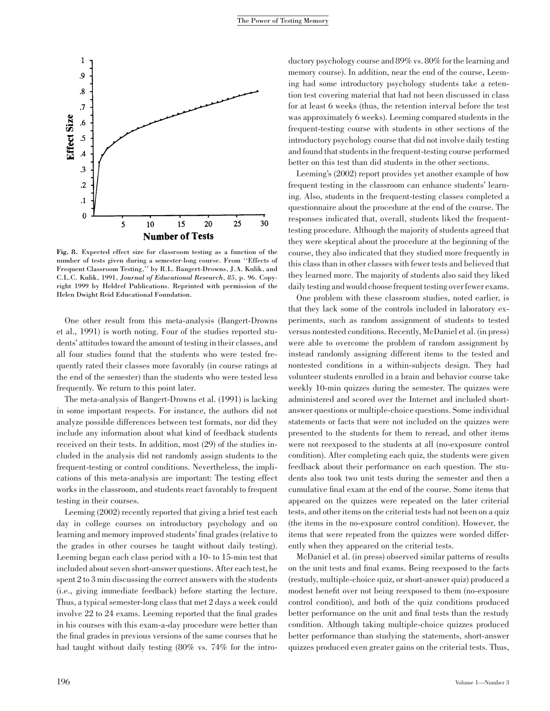

Fig. 8. Expected effect size for classroom testing as a function of the number of tests given during a semester-long course. From ''Effects of Frequent Classroom Testing,'' by R.L. Bangert-Drowns, J.A. Kulik, and C.L.C. Kulik, 1991, Journal of Educational Research, 85, p. 96. Copyright 1999 by Heldref Publications. Reprinted with permission of the Helen Dwight Reid Educational Foundation.

One other result from this meta-analysis (Bangert-Drowns et al., 1991) is worth noting. Four of the studies reported students' attitudes toward the amount of testing in their classes, and all four studies found that the students who were tested frequently rated their classes more favorably (in course ratings at the end of the semester) than the students who were tested less frequently. We return to this point later.

The meta-analysis of Bangert-Drowns et al. (1991) is lacking in some important respects. For instance, the authors did not analyze possible differences between test formats, nor did they include any information about what kind of feedback students received on their tests. In addition, most (29) of the studies included in the analysis did not randomly assign students to the frequent-testing or control conditions. Nevertheless, the implications of this meta-analysis are important: The testing effect works in the classroom, and students react favorably to frequent testing in their courses.

Leeming (2002) recently reported that giving a brief test each day in college courses on introductory psychology and on learning and memory improved students' final grades (relative to the grades in other courses he taught without daily testing). Leeming began each class period with a 10- to 15-min test that included about seven short-answer questions. After each test, he spent 2 to 3 min discussing the correct answers with the students (i.e., giving immediate feedback) before starting the lecture. Thus, a typical semester-long class that met 2 days a week could involve 22 to 24 exams. Leeming reported that the final grades in his courses with this exam-a-day procedure were better than the final grades in previous versions of the same courses that he had taught without daily testing (80% vs. 74% for the introductory psychology course and 89% vs. 80% for the learning and memory course). In addition, near the end of the course, Leeming had some introductory psychology students take a retention test covering material that had not been discussed in class for at least 6 weeks (thus, the retention interval before the test was approximately 6 weeks). Leeming compared students in the frequent-testing course with students in other sections of the introductory psychology course that did not involve daily testing and found that students in the frequent-testing course performed better on this test than did students in the other sections.

Leeming's (2002) report provides yet another example of how frequent testing in the classroom can enhance students' learning. Also, students in the frequent-testing classes completed a questionnaire about the procedure at the end of the course. The responses indicated that, overall, students liked the frequenttesting procedure. Although the majority of students agreed that they were skeptical about the procedure at the beginning of the course, they also indicated that they studied more frequently in this class than in other classes with fewer tests and believed that they learned more. The majority of students also said they liked daily testing and would choose frequent testing over fewer exams.

One problem with these classroom studies, noted earlier, is that they lack some of the controls included in laboratory experiments, such as random assignment of students to tested versus nontested conditions. Recently, McDaniel et al. (in press) were able to overcome the problem of random assignment by instead randomly assigning different items to the tested and nontested conditions in a within-subjects design. They had volunteer students enrolled in a brain and behavior course take weekly 10-min quizzes during the semester. The quizzes were administered and scored over the Internet and included shortanswer questions or multiple-choice questions. Some individual statements or facts that were not included on the quizzes were presented to the students for them to reread, and other items were not reexposed to the students at all (no-exposure control condition). After completing each quiz, the students were given feedback about their performance on each question. The students also took two unit tests during the semester and then a cumulative final exam at the end of the course. Some items that appeared on the quizzes were repeated on the later criterial tests, and other items on the criterial tests had not been on a quiz (the items in the no-exposure control condition). However, the items that were repeated from the quizzes were worded differently when they appeared on the criterial tests.

McDaniel et al. (in press) observed similar patterns of results on the unit tests and final exams. Being reexposed to the facts (restudy, multiple-choice quiz, or short-answer quiz) produced a modest benefit over not being reexposed to them (no-exposure control condition), and both of the quiz conditions produced better performance on the unit and final tests than the restudy condition. Although taking multiple-choice quizzes produced better performance than studying the statements, short-answer quizzes produced even greater gains on the criterial tests. Thus,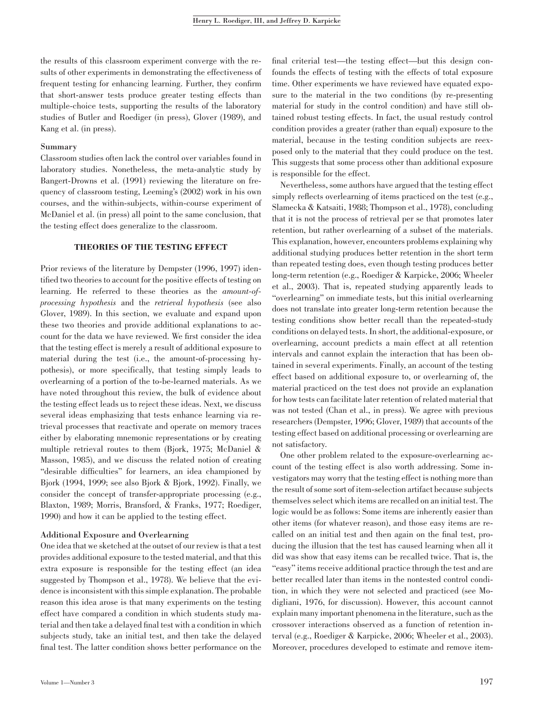the results of this classroom experiment converge with the results of other experiments in demonstrating the effectiveness of frequent testing for enhancing learning. Further, they confirm that short-answer tests produce greater testing effects than multiple-choice tests, supporting the results of the laboratory studies of Butler and Roediger (in press), Glover (1989), and Kang et al. (in press).

# Summary

Classroom studies often lack the control over variables found in laboratory studies. Nonetheless, the meta-analytic study by Bangert-Drowns et al. (1991) reviewing the literature on frequency of classroom testing, Leeming's (2002) work in his own courses, and the within-subjects, within-course experiment of McDaniel et al. (in press) all point to the same conclusion, that the testing effect does generalize to the classroom.

# THEORIES OF THE TESTING EFFECT

Prior reviews of the literature by Dempster (1996, 1997) identified two theories to account for the positive effects of testing on learning. He referred to these theories as the amount-ofprocessing hypothesis and the retrieval hypothesis (see also Glover, 1989). In this section, we evaluate and expand upon these two theories and provide additional explanations to account for the data we have reviewed. We first consider the idea that the testing effect is merely a result of additional exposure to material during the test (i.e., the amount-of-processing hypothesis), or more specifically, that testing simply leads to overlearning of a portion of the to-be-learned materials. As we have noted throughout this review, the bulk of evidence about the testing effect leads us to reject these ideas. Next, we discuss several ideas emphasizing that tests enhance learning via retrieval processes that reactivate and operate on memory traces either by elaborating mnemonic representations or by creating multiple retrieval routes to them (Bjork, 1975; McDaniel & Masson, 1985), and we discuss the related notion of creating ''desirable difficulties'' for learners, an idea championed by Bjork (1994, 1999; see also Bjork & Bjork, 1992). Finally, we consider the concept of transfer-appropriate processing (e.g., Blaxton, 1989; Morris, Bransford, & Franks, 1977; Roediger, 1990) and how it can be applied to the testing effect.

## Additional Exposure and Overlearning

One idea that we sketched at the outset of our review is that a test provides additional exposure to the tested material, and that this extra exposure is responsible for the testing effect (an idea suggested by Thompson et al., 1978). We believe that the evidence is inconsistent with this simple explanation. The probable reason this idea arose is that many experiments on the testing effect have compared a condition in which students study material and then take a delayed final test with a condition in which subjects study, take an initial test, and then take the delayed final test. The latter condition shows better performance on the final criterial test—the testing effect—but this design confounds the effects of testing with the effects of total exposure time. Other experiments we have reviewed have equated exposure to the material in the two conditions (by re-presenting material for study in the control condition) and have still obtained robust testing effects. In fact, the usual restudy control condition provides a greater (rather than equal) exposure to the material, because in the testing condition subjects are reexposed only to the material that they could produce on the test. This suggests that some process other than additional exposure is responsible for the effect.

Nevertheless, some authors have argued that the testing effect simply reflects overlearning of items practiced on the test (e.g., Slamecka & Katsaiti, 1988; Thompson et al., 1978), concluding that it is not the process of retrieval per se that promotes later retention, but rather overlearning of a subset of the materials. This explanation, however, encounters problems explaining why additional studying produces better retention in the short term than repeated testing does, even though testing produces better long-term retention (e.g., Roediger & Karpicke, 2006; Wheeler et al., 2003). That is, repeated studying apparently leads to ''overlearning'' on immediate tests, but this initial overlearning does not translate into greater long-term retention because the testing conditions show better recall than the repeated-study conditions on delayed tests. In short, the additional-exposure, or overlearning, account predicts a main effect at all retention intervals and cannot explain the interaction that has been obtained in several experiments. Finally, an account of the testing effect based on additional exposure to, or overlearning of, the material practiced on the test does not provide an explanation for how tests can facilitate later retention of related material that was not tested (Chan et al., in press). We agree with previous researchers (Dempster, 1996; Glover, 1989) that accounts of the testing effect based on additional processing or overlearning are not satisfactory.

One other problem related to the exposure-overlearning account of the testing effect is also worth addressing. Some investigators may worry that the testing effect is nothing more than the result of some sort of item-selection artifact because subjects themselves select which items are recalled on an initial test. The logic would be as follows: Some items are inherently easier than other items (for whatever reason), and those easy items are recalled on an initial test and then again on the final test, producing the illusion that the test has caused learning when all it did was show that easy items can be recalled twice. That is, the "easy" items receive additional practice through the test and are better recalled later than items in the nontested control condition, in which they were not selected and practiced (see Modigliani, 1976, for discussion). However, this account cannot explain many important phenomena in the literature, such as the crossover interactions observed as a function of retention interval (e.g., Roediger & Karpicke, 2006; Wheeler et al., 2003). Moreover, procedures developed to estimate and remove item-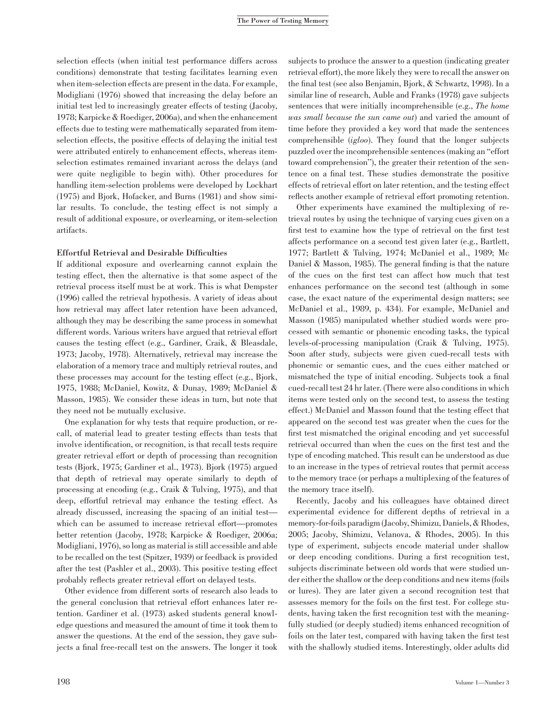selection effects (when initial test performance differs across conditions) demonstrate that testing facilitates learning even when item-selection effects are present in the data. For example, Modigliani (1976) showed that increasing the delay before an initial test led to increasingly greater effects of testing (Jacoby, 1978; Karpicke & Roediger, 2006a), and when the enhancement effects due to testing were mathematically separated from itemselection effects, the positive effects of delaying the initial test were attributed entirely to enhancement effects, whereas itemselection estimates remained invariant across the delays (and were quite negligible to begin with). Other procedures for handling item-selection problems were developed by Lockhart (1975) and Bjork, Hofacker, and Burns (1981) and show similar results. To conclude, the testing effect is not simply a result of additional exposure, or overlearning, or item-selection artifacts.

## Effortful Retrieval and Desirable Difficulties

If additional exposure and overlearning cannot explain the testing effect, then the alternative is that some aspect of the retrieval process itself must be at work. This is what Dempster (1996) called the retrieval hypothesis. A variety of ideas about how retrieval may affect later retention have been advanced, although they may be describing the same process in somewhat different words. Various writers have argued that retrieval effort causes the testing effect (e.g., Gardiner, Craik, & Bleasdale, 1973; Jacoby, 1978). Alternatively, retrieval may increase the elaboration of a memory trace and multiply retrieval routes, and these processes may account for the testing effect (e.g., Bjork, 1975, 1988; McDaniel, Kowitz, & Dunay, 1989; McDaniel & Masson, 1985). We consider these ideas in turn, but note that they need not be mutually exclusive.

One explanation for why tests that require production, or recall, of material lead to greater testing effects than tests that involve identification, or recognition, is that recall tests require greater retrieval effort or depth of processing than recognition tests (Bjork, 1975; Gardiner et al., 1973). Bjork (1975) argued that depth of retrieval may operate similarly to depth of processing at encoding (e.g., Craik & Tulving, 1975), and that deep, effortful retrieval may enhance the testing effect. As already discussed, increasing the spacing of an initial test which can be assumed to increase retrieval effort—promotes better retention (Jacoby, 1978; Karpicke & Roediger, 2006a; Modigliani, 1976), so long as material is still accessible and able to be recalled on the test (Spitzer, 1939) or feedback is provided after the test (Pashler et al., 2003). This positive testing effect probably reflects greater retrieval effort on delayed tests.

Other evidence from different sorts of research also leads to the general conclusion that retrieval effort enhances later retention. Gardiner et al. (1973) asked students general knowledge questions and measured the amount of time it took them to answer the questions. At the end of the session, they gave subjects a final free-recall test on the answers. The longer it took

subjects to produce the answer to a question (indicating greater retrieval effort), the more likely they were to recall the answer on the final test (see also Benjamin, Bjork, & Schwartz, 1998). In a similar line of research, Auble and Franks (1978) gave subjects sentences that were initially incomprehensible (e.g., The home was small because the sun came out) and varied the amount of time before they provided a key word that made the sentences comprehensible (igloo). They found that the longer subjects puzzled over the incomprehensible sentences (making an ''effort toward comprehension''), the greater their retention of the sentence on a final test. These studies demonstrate the positive effects of retrieval effort on later retention, and the testing effect reflects another example of retrieval effort promoting retention.

Other experiments have examined the multiplexing of retrieval routes by using the technique of varying cues given on a first test to examine how the type of retrieval on the first test affects performance on a second test given later (e.g., Bartlett, 1977; Bartlett & Tulving, 1974; McDaniel et al., 1989; Mc Daniel & Masson, 1985). The general finding is that the nature of the cues on the first test can affect how much that test enhances performance on the second test (although in some case, the exact nature of the experimental design matters; see McDaniel et al., 1989, p. 434). For example, McDaniel and Masson (1985) manipulated whether studied words were processed with semantic or phonemic encoding tasks, the typical levels-of-processing manipulation (Craik & Tulving, 1975). Soon after study, subjects were given cued-recall tests with phonemic or semantic cues, and the cues either matched or mismatched the type of initial encoding. Subjects took a final cued-recall test 24 hr later. (There were also conditions in which items were tested only on the second test, to assess the testing effect.) McDaniel and Masson found that the testing effect that appeared on the second test was greater when the cues for the first test mismatched the original encoding and yet successful retrieval occurred than when the cues on the first test and the type of encoding matched. This result can be understood as due to an increase in the types of retrieval routes that permit access to the memory trace (or perhaps a multiplexing of the features of the memory trace itself).

Recently, Jacoby and his colleagues have obtained direct experimental evidence for different depths of retrieval in a memory-for-foils paradigm (Jacoby, Shimizu, Daniels, & Rhodes, 2005; Jacoby, Shimizu, Velanova, & Rhodes, 2005). In this type of experiment, subjects encode material under shallow or deep encoding conditions. During a first recognition test, subjects discriminate between old words that were studied under either the shallow or the deep conditions and new items (foils or lures). They are later given a second recognition test that assesses memory for the foils on the first test. For college students, having taken the first recognition test with the meaningfully studied (or deeply studied) items enhanced recognition of foils on the later test, compared with having taken the first test with the shallowly studied items. Interestingly, older adults did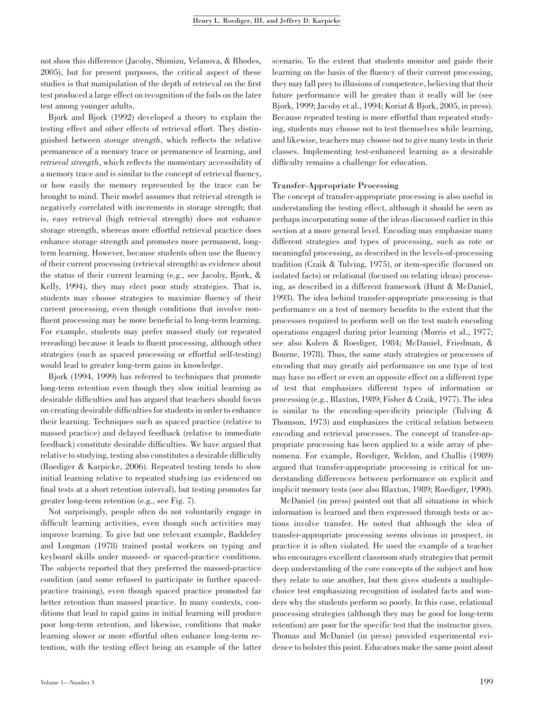not show this difference (Jacoby, Shimizu, Velanova, & Rhodes, 2005), but for present purposes, the critical aspect of these studies is that manipulation of the depth of retrieval on the first test produced a large effect on recognition of the foils on the later test among younger adults.

Bjork and Bjork (1992) developed a theory to explain the testing effect and other effects of retrieval effort. They distinguished between storage strength, which reflects the relative permanence of a memory trace or permanence of learning, and retrieval strength, which reflects the momentary accessibility of a memory trace and is similar to the concept of retrieval fluency, or how easily the memory represented by the trace can be brought to mind. Their model assumes that retrieval strength is negatively correlated with increments in storage strength; that is, easy retrieval (high retrieval strength) does not enhance storage strength, whereas more effortful retrieval practice does enhance storage strength and promotes more permanent, longterm learning. However, because students often use the fluency of their current processing (retrieval strength) as evidence about the status of their current learning (e.g., see Jacoby, Bjork, & Kelly, 1994), they may elect poor study strategies. That is, students may choose strategies to maximize fluency of their current processing, even though conditions that involve nonfluent processing may be more beneficial to long-term learning. For example, students may prefer massed study (or repeated rereading) because it leads to fluent processing, although other strategies (such as spaced processing or effortful self-testing) would lead to greater long-term gains in knowledge.

Bjork (1994, 1999) has referred to techniques that promote long-term retention even though they slow initial learning as desirable difficulties and has argued that teachers should focus on creating desirable difficulties for students in order to enhance their learning. Techniques such as spaced practice (relative to massed practice) and delayed feedback (relative to immediate feedback) constitute desirable difficulties. We have argued that relative to studying, testing also constitutes a desirable difficulty (Roediger & Karpicke, 2006). Repeated testing tends to slow initial learning relative to repeated studying (as evidenced on final tests at a short retention interval), but testing promotes far greater long-term retention (e.g., see Fig. 7).

Not surprisingly, people often do not voluntarily engage in difficult learning activities, even though such activities may improve learning. To give but one relevant example, Baddeley and Longman (1978) trained postal workers on typing and keyboard skills under massed- or spaced-practice conditions. The subjects reported that they preferred the massed-practice condition (and some refused to participate in further spacedpractice training), even though spaced practice promoted far better retention than massed practice. In many contexts, conditions that lead to rapid gains in initial learning will produce poor long-term retention, and likewise, conditions that make learning slower or more effortful often enhance long-term retention, with the testing effect being an example of the latter scenario. To the extent that students monitor and guide their learning on the basis of the fluency of their current processing, they may fall prey to illusions of competence, believing that their future performance will be greater than it really will be (see Bjork, 1999; Jacoby et al., 1994; Koriat & Bjork, 2005, in press). Because repeated testing is more effortful than repeated studying, students may choose not to test themselves while learning, and likewise, teachers may choose not to give many tests in their classes. Implementing test-enhanced learning as a desirable difficulty remains a challenge for education.

# Transfer-Appropriate Processing

The concept of transfer-appropriate processing is also useful in understanding the testing effect, although it should be seen as perhaps incorporating some of the ideas discussed earlier in this section at a more general level. Encoding may emphasize many different strategies and types of processing, such as rote or meaningful processing, as described in the levels-of-processing tradition (Craik & Tulving, 1975), or item-specific (focused on isolated facts) or relational (focused on relating ideas) processing, as described in a different framework (Hunt & McDaniel, 1993). The idea behind transfer-appropriate processing is that performance on a test of memory benefits to the extent that the processes required to perform well on the test match encoding operations engaged during prior learning (Morris et al., 1977; see also Kolers & Roediger, 1984; McDaniel, Friedman, & Bourne, 1978). Thus, the same study strategies or processes of encoding that may greatly aid performance on one type of test may have no effect or even an opposite effect on a different type of test that emphasizes different types of information or processing (e.g., Blaxton, 1989; Fisher & Craik, 1977). The idea is similar to the encoding-specificity principle (Tulving & Thomson, 1973) and emphasizes the critical relation between encoding and retrieval processes. The concept of transfer-appropriate processing has been applied to a wide array of phenomena. For example, Roediger, Weldon, and Challis (1989) argued that transfer-appropriate processing is critical for understanding differences between performance on explicit and implicit memory tests (see also Blaxton, 1989; Roediger, 1990).

McDaniel (in press) pointed out that all situations in which information is learned and then expressed through tests or actions involve transfer. He noted that although the idea of transfer-appropriate processing seems obvious in prospect, in practice it is often violated. He used the example of a teacher who encourages excellent classroom study strategies that permit deep understanding of the core concepts of the subject and how they relate to one another, but then gives students a multiplechoice test emphasizing recognition of isolated facts and wonders why the students perform so poorly. In this case, relational processing strategies (although they may be good for long-term retention) are poor for the specific test that the instructor gives. Thomas and McDaniel (in press) provided experimental evidence to bolster this point. Educators make the same point about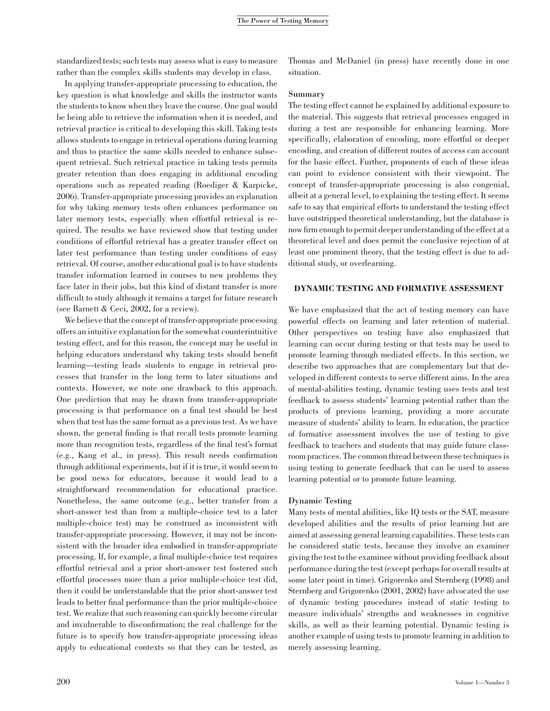standardized tests; such tests may assess what is easy to measure rather than the complex skills students may develop in class.

In applying transfer-appropriate processing to education, the key question is what knowledge and skills the instructor wants the students to know when they leave the course. One goal would be being able to retrieve the information when it is needed, and retrieval practice is critical to developing this skill. Taking tests allows students to engage in retrieval operations during learning and thus to practice the same skills needed to enhance subsequent retrieval. Such retrieval practice in taking tests permits greater retention than does engaging in additional encoding operations such as repeated reading (Roediger & Karpicke, 2006). Transfer-appropriate processing provides an explanation for why taking memory tests often enhances performance on later memory tests, especially when effortful retrieval is required. The results we have reviewed show that testing under conditions of effortful retrieval has a greater transfer effect on later test performance than testing under conditions of easy retrieval. Of course, another educational goal is to have students transfer information learned in courses to new problems they face later in their jobs, but this kind of distant transfer is more difficult to study although it remains a target for future research (see Barnett & Ceci, 2002, for a review).

We believe that the concept of transfer-appropriate processing offers an intuitive explanation for the somewhat counterintuitive testing effect, and for this reason, the concept may be useful in helping educators understand why taking tests should benefit learning—testing leads students to engage in retrieval processes that transfer in the long term to later situations and contexts. However, we note one drawback to this approach. One prediction that may be drawn from transfer-appropriate processing is that performance on a final test should be best when that test has the same format as a previous test. As we have shown, the general finding is that recall tests promote learning more than recognition tests, regardless of the final test's format (e.g., Kang et al., in press). This result needs confirmation through additional experiments, but if it is true, it would seem to be good news for educators, because it would lead to a straightforward recommendation for educational practice. Nonetheless, the same outcome (e.g., better transfer from a short-answer test than from a multiple-choice test to a later multiple-choice test) may be construed as inconsistent with transfer-appropriate processing. However, it may not be inconsistent with the broader idea embodied in transfer-appropriate processing. If, for example, a final multiple-choice test requires effortful retrieval and a prior short-answer test fostered such effortful processes more than a prior multiple-choice test did, then it could be understandable that the prior short-answer test leads to better final performance than the prior multiple-choice test. We realize that such reasoning can quickly become circular and invulnerable to disconfirmation; the real challenge for the future is to specify how transfer-appropriate processing ideas apply to educational contexts so that they can be tested, as

Thomas and McDaniel (in press) have recently done in one situation.

## Summary

The testing effect cannot be explained by additional exposure to the material. This suggests that retrieval processes engaged in during a test are responsible for enhancing learning. More specifically, elaboration of encoding, more effortful or deeper encoding, and creation of different routes of access can account for the basic effect. Further, proponents of each of these ideas can point to evidence consistent with their viewpoint. The concept of transfer-appropriate processing is also congenial, albeit at a general level, to explaining the testing effect. It seems safe to say that empirical efforts to understand the testing effect have outstripped theoretical understanding, but the database is now firm enough to permit deeper understanding of the effect at a theoretical level and does permit the conclusive rejection of at least one prominent theory, that the testing effect is due to additional study, or overlearning.

# DYNAMIC TESTING AND FORMATIVE ASSESSMENT

We have emphasized that the act of testing memory can have powerful effects on learning and later retention of material. Other perspectives on testing have also emphasized that learning can occur during testing or that tests may be used to promote learning through mediated effects. In this section, we describe two approaches that are complementary but that developed in different contexts to serve different aims. In the area of mental-abilities testing, dynamic testing uses tests and test feedback to assess students' learning potential rather than the products of previous learning, providing a more accurate measure of students' ability to learn. In education, the practice of formative assessment involves the use of testing to give feedback to teachers and students that may guide future classroom practices. The common thread between these techniques is using testing to generate feedback that can be used to assess learning potential or to promote future learning.

#### Dynamic Testing

Many tests of mental abilities, like IQ tests or the SAT, measure developed abilities and the results of prior learning but are aimed at assessing general learning capabilities. These tests can be considered static tests, because they involve an examiner giving the test to the examinee without providing feedback about performance during the test (except perhaps for overall results at some later point in time). Grigorenko and Sternberg (1998) and Sternberg and Grigorenko (2001, 2002) have advocated the use of dynamic testing procedures instead of static testing to measure individuals' strengths and weaknesses in cognitive skills, as well as their learning potential. Dynamic testing is another example of using tests to promote learning in addition to merely assessing learning.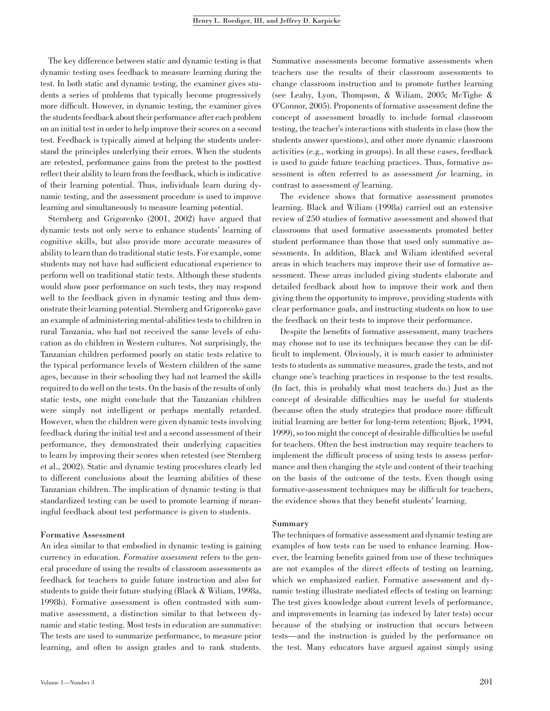The key difference between static and dynamic testing is that dynamic testing uses feedback to measure learning during the test. In both static and dynamic testing, the examiner gives students a series of problems that typically become progressively more difficult. However, in dynamic testing, the examiner gives the students feedback about their performance after each problem on an initial test in order to help improve their scores on a second test. Feedback is typically aimed at helping the students understand the principles underlying their errors. When the students are retested, performance gains from the pretest to the posttest reflect their ability to learn from the feedback, which is indicative of their learning potential. Thus, individuals learn during dynamic testing, and the assessment procedure is used to improve learning and simultaneously to measure learning potential.

Sternberg and Grigorenko (2001, 2002) have argued that dynamic tests not only serve to enhance students' learning of cognitive skills, but also provide more accurate measures of ability to learn than do traditional static tests. For example, some students may not have had sufficient educational experience to perform well on traditional static tests. Although these students would show poor performance on such tests, they may respond well to the feedback given in dynamic testing and thus demonstrate their learning potential. Sternberg and Grigorenko gave an example of administering mental-abilities tests to children in rural Tanzania, who had not received the same levels of education as do children in Western cultures. Not surprisingly, the Tanzanian children performed poorly on static tests relative to the typical performance levels of Western children of the same ages, because in their schooling they had not learned the skills required to do well on the tests. On the basis of the results of only static tests, one might conclude that the Tanzanian children were simply not intelligent or perhaps mentally retarded. However, when the children were given dynamic tests involving feedback during the initial test and a second assessment of their performance, they demonstrated their underlying capacities to learn by improving their scores when retested (see Sternberg et al., 2002). Static and dynamic testing procedures clearly led to different conclusions about the learning abilities of these Tanzanian children. The implication of dynamic testing is that standardized testing can be used to promote learning if meaningful feedback about test performance is given to students.

## Formative Assessment

An idea similar to that embodied in dynamic testing is gaining currency in education. Formative assessment refers to the general procedure of using the results of classroom assessments as feedback for teachers to guide future instruction and also for students to guide their future studying (Black & Wiliam, 1998a, 1998b). Formative assessment is often contrasted with summative assessment, a distinction similar to that between dynamic and static testing. Most tests in education are summative: The tests are used to summarize performance, to measure prior learning, and often to assign grades and to rank students. Summative assessments become formative assessments when teachers use the results of their classroom assessments to change classroom instruction and to promote further learning (see Leahy, Lyon, Thompson, & Wiliam, 2005; McTighe & O'Connor, 2005). Proponents of formative assessment define the concept of assessment broadly to include formal classroom testing, the teacher's interactions with students in class (how the students answer questions), and other more dynamic classroom activities (e.g., working in groups). In all these cases, feedback is used to guide future teaching practices. Thus, formative assessment is often referred to as assessment for learning, in contrast to assessment of learning.

The evidence shows that formative assessment promotes learning. Black and Wiliam (1998a) carried out an extensive review of 250 studies of formative assessment and showed that classrooms that used formative assessments promoted better student performance than those that used only summative assessments. In addition, Black and Wiliam identified several areas in which teachers may improve their use of formative assessment. These areas included giving students elaborate and detailed feedback about how to improve their work and then giving them the opportunity to improve, providing students with clear performance goals, and instructing students on how to use the feedback on their tests to improve their performance.

Despite the benefits of formative assessment, many teachers may choose not to use its techniques because they can be difficult to implement. Obviously, it is much easier to administer tests to students as summative measures, grade the tests, and not change one's teaching practices in response to the test results. (In fact, this is probably what most teachers do.) Just as the concept of desirable difficulties may be useful for students (because often the study strategies that produce more difficult initial learning are better for long-term retention; Bjork, 1994, 1999), so too might the concept of desirable difficulties be useful for teachers. Often the best instruction may require teachers to implement the difficult process of using tests to assess performance and then changing the style and content of their teaching on the basis of the outcome of the tests. Even though using formative-assessment techniques may be difficult for teachers, the evidence shows that they benefit students' learning.

## Summary

The techniques of formative assessment and dynamic testing are examples of how tests can be used to enhance learning. However, the learning benefits gained from use of these techniques are not examples of the direct effects of testing on learning, which we emphasized earlier. Formative assessment and dynamic testing illustrate mediated effects of testing on learning: The test gives knowledge about current levels of performance, and improvements in learning (as indexed by later tests) occur because of the studying or instruction that occurs between tests—and the instruction is guided by the performance on the test. Many educators have argued against simply using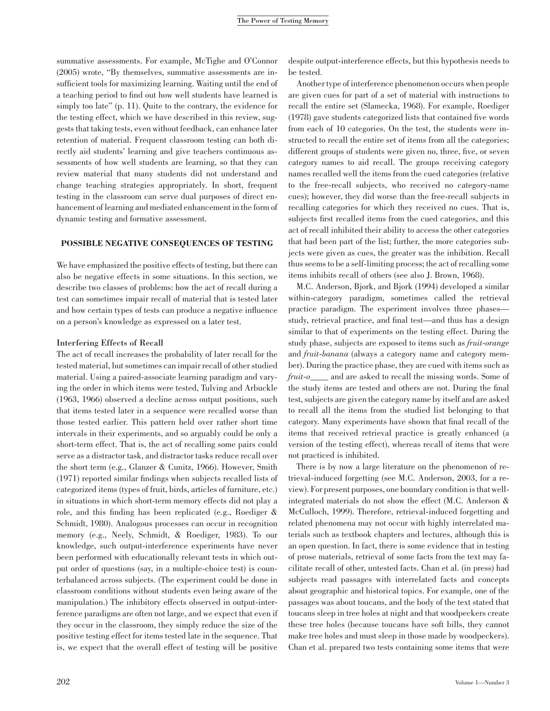summative assessments. For example, McTighe and O'Connor (2005) wrote, ''By themselves, summative assessments are insufficient tools for maximizing learning. Waiting until the end of a teaching period to find out how well students have learned is simply too late'' (p. 11). Quite to the contrary, the evidence for the testing effect, which we have described in this review, suggests that taking tests, even without feedback, can enhance later retention of material. Frequent classroom testing can both directly aid students' learning and give teachers continuous assessments of how well students are learning, so that they can review material that many students did not understand and change teaching strategies appropriately. In short, frequent testing in the classroom can serve dual purposes of direct enhancement of learning and mediated enhancement in the form of dynamic testing and formative assessment.

# POSSIBLE NEGATIVE CONSEQUENCES OF TESTING

We have emphasized the positive effects of testing, but there can also be negative effects in some situations. In this section, we describe two classes of problems: how the act of recall during a test can sometimes impair recall of material that is tested later and how certain types of tests can produce a negative influence on a person's knowledge as expressed on a later test.

## Interfering Effects of Recall

The act of recall increases the probability of later recall for the tested material, but sometimes can impair recall of other studied material. Using a paired-associate learning paradigm and varying the order in which items were tested, Tulving and Arbuckle (1963, 1966) observed a decline across output positions, such that items tested later in a sequence were recalled worse than those tested earlier. This pattern held over rather short time intervals in their experiments, and so arguably could be only a short-term effect. That is, the act of recalling some pairs could serve as a distractor task, and distractor tasks reduce recall over the short term (e.g., Glanzer & Cunitz, 1966). However, Smith (1971) reported similar findings when subjects recalled lists of categorized items (types of fruit, birds, articles of furniture, etc.) in situations in which short-term memory effects did not play a role, and this finding has been replicated (e.g., Roediger & Schmidt, 1980). Analogous processes can occur in recognition memory (e.g., Neely, Schmidt, & Roediger, 1983). To our knowledge, such output-interference experiments have never been performed with educationally relevant tests in which output order of questions (say, in a multiple-choice test) is counterbalanced across subjects. (The experiment could be done in classroom conditions without students even being aware of the manipulation.) The inhibitory effects observed in output-interference paradigms are often not large, and we expect that even if they occur in the classroom, they simply reduce the size of the positive testing effect for items tested late in the sequence. That is, we expect that the overall effect of testing will be positive

despite output-interference effects, but this hypothesis needs to be tested.

Another type of interference phenomenon occurs when people are given cues for part of a set of material with instructions to recall the entire set (Slamecka, 1968). For example, Roediger (1978) gave students categorized lists that contained five words from each of 10 categories. On the test, the students were instructed to recall the entire set of items from all the categories; different groups of students were given no, three, five, or seven category names to aid recall. The groups receiving category names recalled well the items from the cued categories (relative to the free-recall subjects, who received no category-name cues); however, they did worse than the free-recall subjects in recalling categories for which they received no cues. That is, subjects first recalled items from the cued categories, and this act of recall inhibited their ability to access the other categories that had been part of the list; further, the more categories subjects were given as cues, the greater was the inhibition. Recall thus seems to be a self-limiting process; the act of recalling some items inhibits recall of others (see also J. Brown, 1968).

M.C. Anderson, Bjork, and Bjork (1994) developed a similar within-category paradigm, sometimes called the retrieval practice paradigm. The experiment involves three phases study, retrieval practice, and final test—and thus has a design similar to that of experiments on the testing effect. During the study phase, subjects are exposed to items such as fruit-orange and fruit-banana (always a category name and category member). During the practice phase, they are cued with items such as fruit-o\_\_\_\_ and are asked to recall the missing words. Some of the study items are tested and others are not. During the final test, subjects are given the category name by itself and are asked to recall all the items from the studied list belonging to that category. Many experiments have shown that final recall of the items that received retrieval practice is greatly enhanced (a version of the testing effect), whereas recall of items that were not practiced is inhibited.

There is by now a large literature on the phenomenon of retrieval-induced forgetting (see M.C. Anderson, 2003, for a review). For present purposes, one boundary condition is that wellintegrated materials do not show the effect (M.C. Anderson & McCulloch, 1999). Therefore, retrieval-induced forgetting and related phenomena may not occur with highly interrelated materials such as textbook chapters and lectures, although this is an open question. In fact, there is some evidence that in testing of prose materials, retrieval of some facts from the text may facilitate recall of other, untested facts. Chan et al. (in press) had subjects read passages with interrelated facts and concepts about geographic and historical topics. For example, one of the passages was about toucans, and the body of the text stated that toucans sleep in tree holes at night and that woodpeckers create these tree holes (because toucans have soft bills, they cannot make tree holes and must sleep in those made by woodpeckers). Chan et al. prepared two tests containing some items that were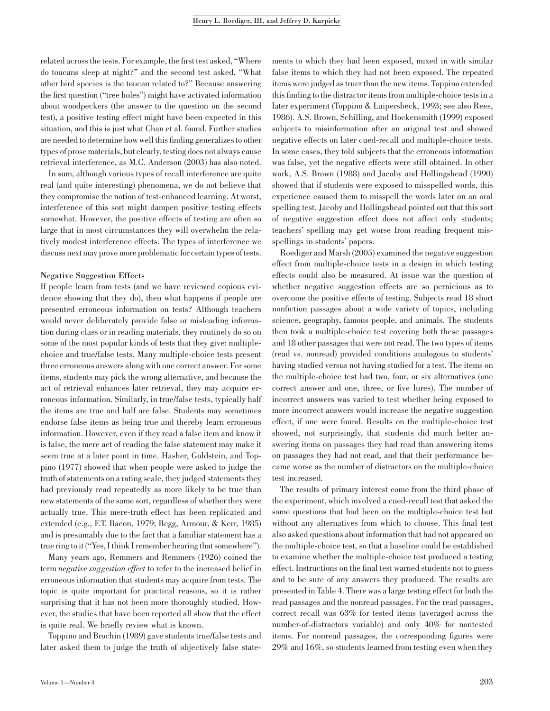related across the tests. For example, the first test asked, ''Where do toucans sleep at night?'' and the second test asked, ''What other bird species is the toucan related to?'' Because answering the first question (''tree holes'') might have activated information about woodpeckers (the answer to the question on the second test), a positive testing effect might have been expected in this situation, and this is just what Chan et al. found. Further studies are needed to determine how well this finding generalizes to other types of prose materials, but clearly, testing does not always cause retrieval interference, as M.C. Anderson (2003) has also noted.

In sum, although various types of recall interference are quite real (and quite interesting) phenomena, we do not believe that they compromise the notion of test-enhanced learning. At worst, interference of this sort might dampen positive testing effects somewhat. However, the positive effects of testing are often so large that in most circumstances they will overwhelm the relatively modest interference effects. The types of interference we discuss next may prove more problematic for certain types of tests.

# Negative Suggestion Effects

If people learn from tests (and we have reviewed copious evidence showing that they do), then what happens if people are presented erroneous information on tests? Although teachers would never deliberately provide false or misleading information during class or in reading materials, they routinely do so on some of the most popular kinds of tests that they give: multiplechoice and true/false tests. Many multiple-choice tests present three erroneous answers along with one correct answer. For some items, students may pick the wrong alternative, and because the act of retrieval enhances later retrieval, they may acquire erroneous information. Similarly, in true/false tests, typically half the items are true and half are false. Students may sometimes endorse false items as being true and thereby learn erroneous information. However, even if they read a false item and know it is false, the mere act of reading the false statement may make it seem true at a later point in time. Hasher, Goldstein, and Toppino (1977) showed that when people were asked to judge the truth of statements on a rating scale, they judged statements they had previously read repeatedly as more likely to be true than new statements of the same sort, regardless of whether they were actually true. This mere-truth effect has been replicated and extended (e.g., F.T. Bacon, 1979; Begg, Armour, & Kerr, 1985) and is presumably due to the fact that a familiar statement has a true ring to it (''Yes, I think I remember hearing that somewhere'').

Many years ago, Remmers and Remmers (1926) coined the term negative suggestion effect to refer to the increased belief in erroneous information that students may acquire from tests. The topic is quite important for practical reasons, so it is rather surprising that it has not been more thoroughly studied. However, the studies that have been reported all show that the effect is quite real. We briefly review what is known.

Toppino and Brochin (1989) gave students true/false tests and later asked them to judge the truth of objectively false state-

ments to which they had been exposed, mixed in with similar false items to which they had not been exposed. The repeated items were judged as truer than the new items. Toppino extended this finding to the distractor items from multiple-choice tests in a later experiment (Toppino & Luipersbeck, 1993; see also Rees, 1986). A.S. Brown, Schilling, and Hockensmith (1999) exposed subjects to misinformation after an original test and showed negative effects on later cued-recall and multiple-choice tests. In some cases, they told subjects that the erroneous information was false, yet the negative effects were still obtained. In other work, A.S. Brown (1988) and Jacoby and Hollingshead (1990) showed that if students were exposed to misspelled words, this experience caused them to misspell the words later on an oral spelling test. Jacoby and Hollingshead pointed out that this sort of negative suggestion effect does not affect only students; teachers' spelling may get worse from reading frequent misspellings in students' papers.

Roediger and Marsh (2005) examined the negative suggestion effect from multiple-choice tests in a design in which testing effects could also be measured. At issue was the question of whether negative suggestion effects are so pernicious as to overcome the positive effects of testing. Subjects read 18 short nonfiction passages about a wide variety of topics, including science, geography, famous people, and animals. The students then took a multiple-choice test covering both these passages and 18 other passages that were not read. The two types of items (read vs. nonread) provided conditions analogous to students' having studied versus not having studied for a test. The items on the multiple-choice test had two, four, or six alternatives (one correct answer and one, three, or five lures). The number of incorrect answers was varied to test whether being exposed to more incorrect answers would increase the negative suggestion effect, if one were found. Results on the multiple-choice test showed, not surprisingly, that students did much better answering items on passages they had read than answering items on passages they had not read, and that their performance became worse as the number of distractors on the multiple-choice test increased.

The results of primary interest come from the third phase of the experiment, which involved a cued-recall test that asked the same questions that had been on the multiple-choice test but without any alternatives from which to choose. This final test also asked questions about information that had not appeared on the multiple-choice test, so that a baseline could be established to examine whether the multiple-choice test produced a testing effect. Instructions on the final test warned students not to guess and to be sure of any answers they produced. The results are presented in Table 4. There was a large testing effect for both the read passages and the nonread passages. For the read passages, correct recall was 63% for tested items (averaged across the number-of-distractors variable) and only 40% for nontested items. For nonread passages, the corresponding figures were 29% and 16%, so students learned from testing even when they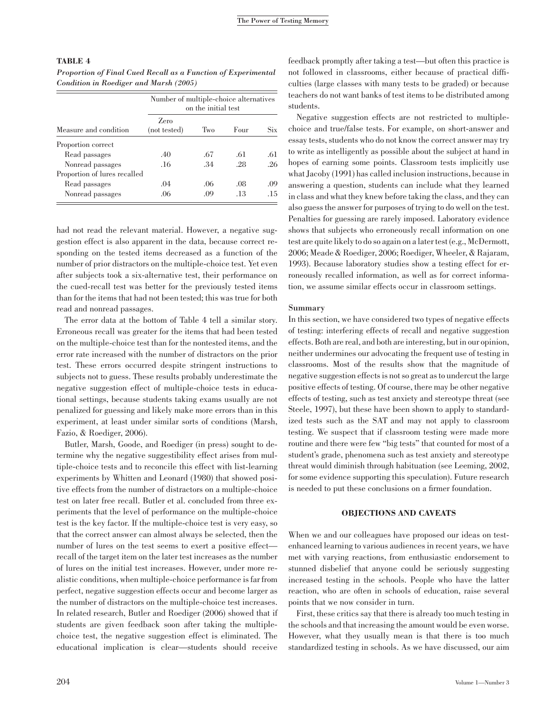## TABLE 4

Proportion of Final Cued Recall as a Function of Experimental Condition in Roediger and Marsh (2005)

| Measure and condition        |                      | Number of multiple-choice alternatives<br>on the initial test |      |            |  |  |
|------------------------------|----------------------|---------------------------------------------------------------|------|------------|--|--|
|                              | Zero<br>(not tested) | Two                                                           | Four | <b>Six</b> |  |  |
| Proportion correct           |                      |                                                               |      |            |  |  |
| Read passages                | .40                  | .67                                                           | .61  | .61        |  |  |
| Nonread passages             | .16                  | .34                                                           | .28  | -26        |  |  |
| Proportion of lures recalled |                      |                                                               |      |            |  |  |
| Read passages                | .04                  | .06                                                           | .08  | .09        |  |  |
| Nonread passages             | .06                  | .09                                                           | .13  | .15        |  |  |

had not read the relevant material. However, a negative suggestion effect is also apparent in the data, because correct responding on the tested items decreased as a function of the number of prior distractors on the multiple-choice test. Yet even after subjects took a six-alternative test, their performance on the cued-recall test was better for the previously tested items than for the items that had not been tested; this was true for both read and nonread passages.

The error data at the bottom of Table 4 tell a similar story. Erroneous recall was greater for the items that had been tested on the multiple-choice test than for the nontested items, and the error rate increased with the number of distractors on the prior test. These errors occurred despite stringent instructions to subjects not to guess. These results probably underestimate the negative suggestion effect of multiple-choice tests in educational settings, because students taking exams usually are not penalized for guessing and likely make more errors than in this experiment, at least under similar sorts of conditions (Marsh, Fazio, & Roediger, 2006).

Butler, Marsh, Goode, and Roediger (in press) sought to determine why the negative suggestibility effect arises from multiple-choice tests and to reconcile this effect with list-learning experiments by Whitten and Leonard (1980) that showed positive effects from the number of distractors on a multiple-choice test on later free recall. Butler et al. concluded from three experiments that the level of performance on the multiple-choice test is the key factor. If the multiple-choice test is very easy, so that the correct answer can almost always be selected, then the number of lures on the test seems to exert a positive effect recall of the target item on the later test increases as the number of lures on the initial test increases. However, under more realistic conditions, when multiple-choice performance is far from perfect, negative suggestion effects occur and become larger as the number of distractors on the multiple-choice test increases. In related research, Butler and Roediger (2006) showed that if students are given feedback soon after taking the multiplechoice test, the negative suggestion effect is eliminated. The educational implication is clear—students should receive

feedback promptly after taking a test—but often this practice is not followed in classrooms, either because of practical difficulties (large classes with many tests to be graded) or because teachers do not want banks of test items to be distributed among students.

Negative suggestion effects are not restricted to multiplechoice and true/false tests. For example, on short-answer and essay tests, students who do not know the correct answer may try to write as intelligently as possible about the subject at hand in hopes of earning some points. Classroom tests implicitly use what Jacoby (1991) has called inclusion instructions, because in answering a question, students can include what they learned in class and what they knew before taking the class, and they can also guess the answer for purposes of trying to do well on the test. Penalties for guessing are rarely imposed. Laboratory evidence shows that subjects who erroneously recall information on one test are quite likely to do so again on a later test (e.g., McDermott, 2006; Meade & Roediger, 2006; Roediger, Wheeler, & Rajaram, 1993). Because laboratory studies show a testing effect for erroneously recalled information, as well as for correct information, we assume similar effects occur in classroom settings.

## Summary

In this section, we have considered two types of negative effects of testing: interfering effects of recall and negative suggestion effects. Both are real, and both are interesting, but in our opinion, neither undermines our advocating the frequent use of testing in classrooms. Most of the results show that the magnitude of negative suggestion effects is not so great as to undercut the large positive effects of testing. Of course, there may be other negative effects of testing, such as test anxiety and stereotype threat (see Steele, 1997), but these have been shown to apply to standardized tests such as the SAT and may not apply to classroom testing. We suspect that if classroom testing were made more routine and there were few ''big tests'' that counted for most of a student's grade, phenomena such as test anxiety and stereotype threat would diminish through habituation (see Leeming, 2002, for some evidence supporting this speculation). Future research is needed to put these conclusions on a firmer foundation.

# OBJECTIONS AND CAVEATS

When we and our colleagues have proposed our ideas on testenhanced learning to various audiences in recent years, we have met with varying reactions, from enthusiastic endorsement to stunned disbelief that anyone could be seriously suggesting increased testing in the schools. People who have the latter reaction, who are often in schools of education, raise several points that we now consider in turn.

First, these critics say that there is already too much testing in the schools and that increasing the amount would be even worse. However, what they usually mean is that there is too much standardized testing in schools. As we have discussed, our aim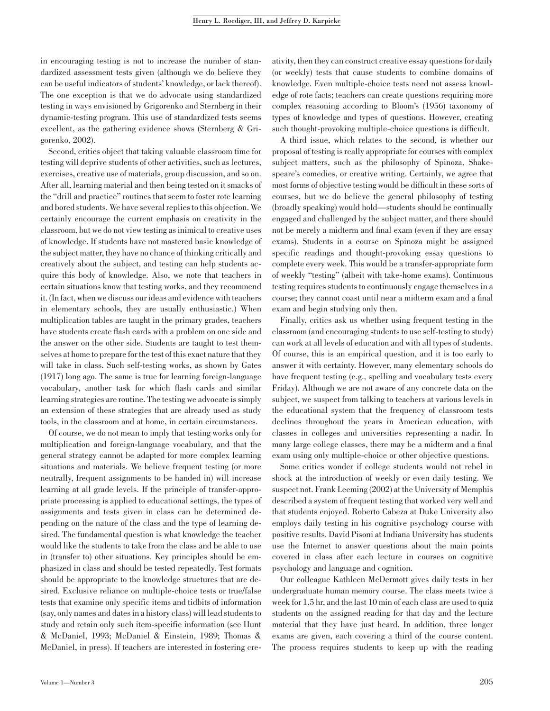in encouraging testing is not to increase the number of standardized assessment tests given (although we do believe they can be useful indicators of students' knowledge, or lack thereof). The one exception is that we do advocate using standardized testing in ways envisioned by Grigorenko and Sternberg in their dynamic-testing program. This use of standardized tests seems excellent, as the gathering evidence shows (Sternberg & Grigorenko, 2002).

Second, critics object that taking valuable classroom time for testing will deprive students of other activities, such as lectures, exercises, creative use of materials, group discussion, and so on. After all, learning material and then being tested on it smacks of the ''drill and practice'' routines that seem to foster rote learning and bored students. We have several replies to this objection. We certainly encourage the current emphasis on creativity in the classroom, but we do not view testing as inimical to creative uses of knowledge. If students have not mastered basic knowledge of the subject matter, they have no chance of thinking critically and creatively about the subject, and testing can help students acquire this body of knowledge. Also, we note that teachers in certain situations know that testing works, and they recommend it. (In fact, when we discuss our ideas and evidence with teachers in elementary schools, they are usually enthusiastic.) When multiplication tables are taught in the primary grades, teachers have students create flash cards with a problem on one side and the answer on the other side. Students are taught to test themselves at home to prepare for the test of this exact nature that they will take in class. Such self-testing works, as shown by Gates (1917) long ago. The same is true for learning foreign-language vocabulary, another task for which flash cards and similar learning strategies are routine. The testing we advocate is simply an extension of these strategies that are already used as study tools, in the classroom and at home, in certain circumstances.

Of course, we do not mean to imply that testing works only for multiplication and foreign-language vocabulary, and that the general strategy cannot be adapted for more complex learning situations and materials. We believe frequent testing (or more neutrally, frequent assignments to be handed in) will increase learning at all grade levels. If the principle of transfer-appropriate processing is applied to educational settings, the types of assignments and tests given in class can be determined depending on the nature of the class and the type of learning desired. The fundamental question is what knowledge the teacher would like the students to take from the class and be able to use in (transfer to) other situations. Key principles should be emphasized in class and should be tested repeatedly. Test formats should be appropriate to the knowledge structures that are desired. Exclusive reliance on multiple-choice tests or true/false tests that examine only specific items and tidbits of information (say, only names and dates in a history class) will lead students to study and retain only such item-specific information (see Hunt & McDaniel, 1993; McDaniel & Einstein, 1989; Thomas & McDaniel, in press). If teachers are interested in fostering creativity, then they can construct creative essay questions for daily (or weekly) tests that cause students to combine domains of knowledge. Even multiple-choice tests need not assess knowledge of rote facts; teachers can create questions requiring more complex reasoning according to Bloom's (1956) taxonomy of types of knowledge and types of questions. However, creating such thought-provoking multiple-choice questions is difficult.

A third issue, which relates to the second, is whether our proposal of testing is really appropriate for courses with complex subject matters, such as the philosophy of Spinoza, Shakespeare's comedies, or creative writing. Certainly, we agree that most forms of objective testing would be difficult in these sorts of courses, but we do believe the general philosophy of testing (broadly speaking) would hold—students should be continually engaged and challenged by the subject matter, and there should not be merely a midterm and final exam (even if they are essay exams). Students in a course on Spinoza might be assigned specific readings and thought-provoking essay questions to complete every week. This would be a transfer-appropriate form of weekly ''testing'' (albeit with take-home exams). Continuous testing requires students to continuously engage themselves in a course; they cannot coast until near a midterm exam and a final exam and begin studying only then.

Finally, critics ask us whether using frequent testing in the classroom (and encouraging students to use self-testing to study) can work at all levels of education and with all types of students. Of course, this is an empirical question, and it is too early to answer it with certainty. However, many elementary schools do have frequent testing (e.g., spelling and vocabulary tests every Friday). Although we are not aware of any concrete data on the subject, we suspect from talking to teachers at various levels in the educational system that the frequency of classroom tests declines throughout the years in American education, with classes in colleges and universities representing a nadir. In many large college classes, there may be a midterm and a final exam using only multiple-choice or other objective questions.

Some critics wonder if college students would not rebel in shock at the introduction of weekly or even daily testing. We suspect not. Frank Leeming (2002) at the University of Memphis described a system of frequent testing that worked very well and that students enjoyed. Roberto Cabeza at Duke University also employs daily testing in his cognitive psychology course with positive results. David Pisoni at Indiana University has students use the Internet to answer questions about the main points covered in class after each lecture in courses on cognitive psychology and language and cognition.

Our colleague Kathleen McDermott gives daily tests in her undergraduate human memory course. The class meets twice a week for 1.5 hr, and the last 10 min of each class are used to quiz students on the assigned reading for that day and the lecture material that they have just heard. In addition, three longer exams are given, each covering a third of the course content. The process requires students to keep up with the reading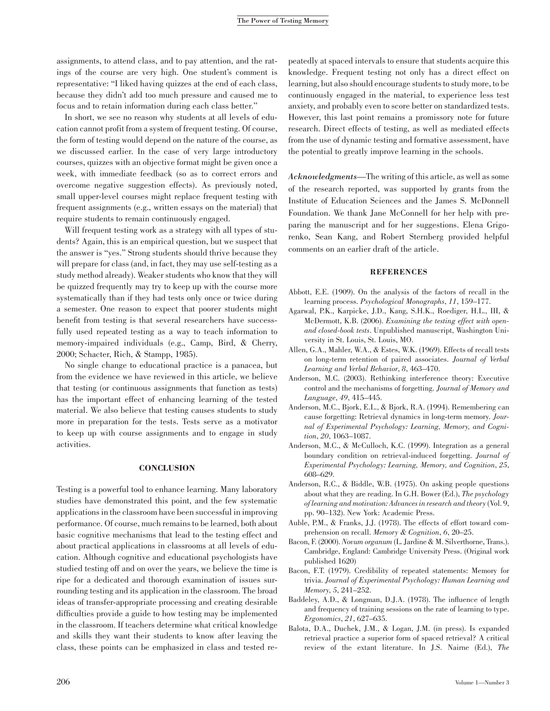assignments, to attend class, and to pay attention, and the ratings of the course are very high. One student's comment is representative: ''I liked having quizzes at the end of each class, because they didn't add too much pressure and caused me to focus and to retain information during each class better.''

In short, we see no reason why students at all levels of education cannot profit from a system of frequent testing. Of course, the form of testing would depend on the nature of the course, as we discussed earlier. In the case of very large introductory courses, quizzes with an objective format might be given once a week, with immediate feedback (so as to correct errors and overcome negative suggestion effects). As previously noted, small upper-level courses might replace frequent testing with frequent assignments (e.g., written essays on the material) that require students to remain continuously engaged.

Will frequent testing work as a strategy with all types of students? Again, this is an empirical question, but we suspect that the answer is ''yes.'' Strong students should thrive because they will prepare for class (and, in fact, they may use self-testing as a study method already). Weaker students who know that they will be quizzed frequently may try to keep up with the course more systematically than if they had tests only once or twice during a semester. One reason to expect that poorer students might benefit from testing is that several researchers have successfully used repeated testing as a way to teach information to memory-impaired individuals (e.g., Camp, Bird, & Cherry, 2000; Schacter, Rich, & Stampp, 1985).

No single change to educational practice is a panacea, but from the evidence we have reviewed in this article, we believe that testing (or continuous assignments that function as tests) has the important effect of enhancing learning of the tested material. We also believe that testing causes students to study more in preparation for the tests. Tests serve as a motivator to keep up with course assignments and to engage in study activities.

## **CONCLUSION**

Testing is a powerful tool to enhance learning. Many laboratory studies have demonstrated this point, and the few systematic applications in the classroom have been successful in improving performance. Of course, much remains to be learned, both about basic cognitive mechanisms that lead to the testing effect and about practical applications in classrooms at all levels of education. Although cognitive and educational psychologists have studied testing off and on over the years, we believe the time is ripe for a dedicated and thorough examination of issues surrounding testing and its application in the classroom. The broad ideas of transfer-appropriate processing and creating desirable difficulties provide a guide to how testing may be implemented in the classroom. If teachers determine what critical knowledge and skills they want their students to know after leaving the class, these points can be emphasized in class and tested re-

peatedly at spaced intervals to ensure that students acquire this knowledge. Frequent testing not only has a direct effect on learning, but also should encourage students to study more, to be continuously engaged in the material, to experience less test anxiety, and probably even to score better on standardized tests. However, this last point remains a promissory note for future research. Direct effects of testing, as well as mediated effects from the use of dynamic testing and formative assessment, have the potential to greatly improve learning in the schools.

Acknowledgments—The writing of this article, as well as some of the research reported, was supported by grants from the Institute of Education Sciences and the James S. McDonnell Foundation. We thank Jane McConnell for her help with preparing the manuscript and for her suggestions. Elena Grigorenko, Sean Kang, and Robert Sternberg provided helpful comments on an earlier draft of the article.

# **REFERENCES**

- Abbott, E.E. (1909). On the analysis of the factors of recall in the learning process. Psychological Monographs, 11, 159–177.
- Agarwal, P.K., Karpicke, J.D., Kang, S.H.K., Roediger, H.L., III, & McDermott, K.B. (2006). Examining the testing effect with openand closed-book tests. Unpublished manuscript, Washington University in St. Louis, St. Louis, MO.
- Allen, G.A., Mahler, W.A., & Estes, W.K. (1969). Effects of recall tests on long-term retention of paired associates. Journal of Verbal Learning and Verbal Behavior, 8, 463–470.
- Anderson, M.C. (2003). Rethinking interference theory: Executive control and the mechanisms of forgetting. Journal of Memory and Language, 49, 415–445.
- Anderson, M.C., Bjork, E.L., & Bjork, R.A. (1994). Remembering can cause forgetting: Retrieval dynamics in long-term memory. Journal of Experimental Psychology: Learning, Memory, and Cognition, 20, 1063–1087.
- Anderson, M.C., & McCulloch, K.C. (1999). Integration as a general boundary condition on retrieval-induced forgetting. Journal of Experimental Psychology: Learning, Memory, and Cognition, 25, 608–629.
- Anderson, R.C., & Biddle, W.B. (1975). On asking people questions about what they are reading. In G.H. Bower (Ed.), The psychology of learning and motivation: Advances in research and theory (Vol. 9, pp. 90–132). New York: Academic Press.
- Auble, P.M., & Franks, J.J. (1978). The effects of effort toward comprehension on recall. Memory & Cognition, 6, 20–25.
- Bacon, F. (2000). Novum organum (L. Jardine & M. Silverthorne, Trans.). Cambridge, England: Cambridge University Press. (Original work published 1620)
- Bacon, F.T. (1979). Credibility of repeated statements: Memory for trivia. Journal of Experimental Psychology: Human Learning and Memory, 5, 241–252.
- Baddeley, A.D., & Longman, D.J.A. (1978). The influence of length and frequency of training sessions on the rate of learning to type. Ergonomics, 21, 627–635.
- Balota, D.A., Duchek, J.M., & Logan, J.M. (in press). Is expanded retrieval practice a superior form of spaced retrieval? A critical review of the extant literature. In J.S. Nairne (Ed.), The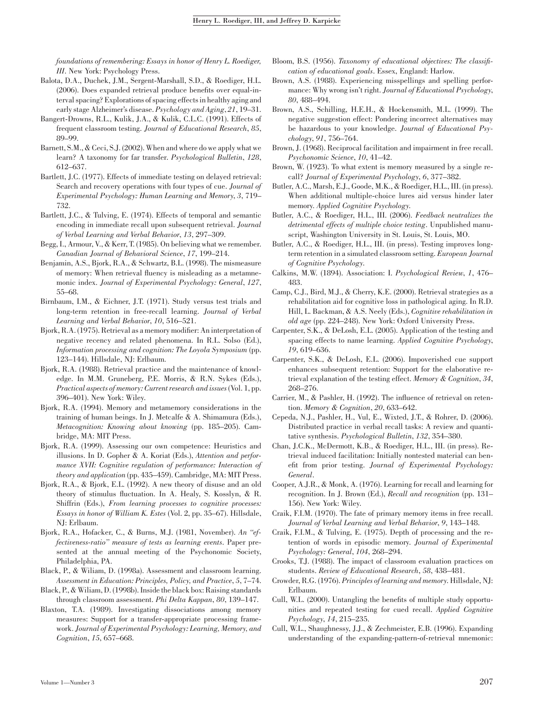foundations of remembering: Essays in honor of Henry L. Roediger, III. New York: Psychology Press.

- Balota, D.A., Duchek, J.M., Sergent-Marshall, S.D., & Roediger, H.L. (2006). Does expanded retrieval produce benefits over equal-interval spacing? Explorations of spacing effects in healthy aging and early stage Alzheimer's disease. Psychology and Aging, 21, 19–31.
- Bangert-Drowns, R.L., Kulik, J.A., & Kulik, C.L.C. (1991). Effects of frequent classroom testing. Journal of Educational Research, 85, 89–99.
- Barnett, S.M., & Ceci, S.J. (2002). When and where do we apply what we learn? A taxonomy for far transfer. Psychological Bulletin, 128, 612–637.
- Bartlett, J.C. (1977). Effects of immediate testing on delayed retrieval: Search and recovery operations with four types of cue. Journal of Experimental Psychology: Human Learning and Memory, 3, 719– 732.
- Bartlett, J.C., & Tulving, E. (1974). Effects of temporal and semantic encoding in immediate recall upon subsequent retrieval. Journal of Verbal Learning and Verbal Behavior, 13, 297–309.
- Begg, I., Armour, V., & Kerr, T. (1985). On believing what we remember. Canadian Journal of Behavioral Science, 17, 199–214.
- Benjamin, A.S., Bjork, R.A., & Schwartz, B.L. (1998). The mismeasure of memory: When retrieval fluency is misleading as a metamnemonic index. Journal of Experimental Psychology: General, 127, 55–68.
- Birnbaum, I.M., & Eichner, J.T. (1971). Study versus test trials and long-term retention in free-recall learning. Journal of Verbal Learning and Verbal Behavior, 10, 516–521.
- Bjork, R.A. (1975). Retrieval as a memory modifier: An interpretation of negative recency and related phenomena. In R.L. Solso (Ed.), Information processing and cognition: The Loyola Symposium (pp. 123–144). Hillsdale, NJ: Erlbaum.
- Bjork, R.A. (1988). Retrieval practice and the maintenance of knowledge. In M.M. Gruneberg, P.E. Morris, & R.N. Sykes (Eds.), Practical aspects of memory: Current research and issues (Vol. 1, pp. 396–401). New York: Wiley.
- Bjork, R.A. (1994). Memory and metamemory considerations in the training of human beings. In J. Metcalfe & A. Shimamura (Eds.), Metacognition: Knowing about knowing (pp. 185–205). Cambridge, MA: MIT Press.
- Bjork, R.A. (1999). Assessing our own competence: Heuristics and illusions. In D. Gopher & A. Koriat (Eds.), Attention and performance XVII: Cognitive regulation of performance: Interaction of theory and application (pp. 435–459). Cambridge, MA: MIT Press.
- Bjork, R.A., & Bjork, E.L. (1992). A new theory of disuse and an old theory of stimulus fluctuation. In A. Healy, S. Kosslyn, & R. Shiffrin (Eds.), From learning processes to cognitive processes: Essays in honor of William K. Estes (Vol. 2, pp. 35–67). Hillsdale, NJ: Erlbaum.
- Bjork, R.A., Hofacker, C., & Burns, M.J. (1981, November). An ''effectiveness-ratio'' measure of tests as learning events. Paper presented at the annual meeting of the Psychonomic Society, Philadelphia, PA.
- Black, P., & Wiliam, D. (1998a). Assessment and classroom learning. Assessment in Education: Principles, Policy, and Practice, 5, 7–74.
- Black, P., & Wiliam, D. (1998b). Inside the black box: Raising standards through classroom assessment. Phi Delta Kappan, 80, 139–147.
- Blaxton, T.A. (1989). Investigating dissociations among memory measures: Support for a transfer-appropriate processing framework. Journal of Experimental Psychology: Learning, Memory, and Cognition, 15, 657–668.
- Bloom, B.S. (1956). Taxonomy of educational objectives: The classification of educational goals. Essex, England: Harlow.
- Brown, A.S. (1988). Experiencing misspellings and spelling performance: Why wrong isn't right. Journal of Educational Psychology, 80, 488–494.
- Brown, A.S., Schilling, H.E.H., & Hockensmith, M.L. (1999). The negative suggestion effect: Pondering incorrect alternatives may be hazardous to your knowledge. Journal of Educational Psychology, 91, 756–764.
- Brown, J. (1968). Reciprocal facilitation and impairment in free recall. Psychonomic Science, 10, 41–42.
- Brown, W. (1923). To what extent is memory measured by a single recall? Journal of Experimental Psychology, 6, 377–382.
- Butler, A.C., Marsh, E.J., Goode, M.K., & Roediger, H.L., III. (in press). When additional multiple-choice lures aid versus hinder later memory. Applied Cognitive Psychology.
- Butler, A.C., & Roediger, H.L., III. (2006). Feedback neutralizes the detrimental effects of multiple choice testing. Unpublished manuscript, Washington University in St. Louis, St. Louis, MO.
- Butler, A.C., & Roediger, H.L., III. (in press). Testing improves longterm retention in a simulated classroom setting. European Journal of Cognitive Psychology.
- Calkins, M.W. (1894). Association: I. Psychological Review, 1, 476– 483.
- Camp, C.J., Bird, M.J., & Cherry, K.E. (2000). Retrieval strategies as a rehabilitation aid for cognitive loss in pathological aging. In R.D. Hill, L. Backman, & A.S. Neely (Eds.), Cognitive rehabilitation in old age (pp. 224–248). New York: Oxford University Press.
- Carpenter, S.K., & DeLosh, E.L. (2005). Application of the testing and spacing effects to name learning. Applied Cognitive Psychology, 19, 619–636.
- Carpenter, S.K., & DeLosh, E.L. (2006). Impoverished cue support enhances subsequent retention: Support for the elaborative retrieval explanation of the testing effect. Memory & Cognition, 34, 268–276.
- Carrier, M., & Pashler, H. (1992). The influence of retrieval on retention. Memory & Cognition, 20, 633–642.
- Cepeda, N.J., Pashler, H., Vul, E., Wixted, J.T., & Rohrer, D. (2006). Distributed practice in verbal recall tasks: A review and quantitative synthesis. Psychological Bulletin, 132, 354–380.
- Chan, J.C.K., McDermott, K.B., & Roediger, H.L., III. (in press). Retrieval induced facilitation: Initially nontested material can benefit from prior testing. Journal of Experimental Psychology: General.
- Cooper, A.J.R., & Monk, A. (1976). Learning for recall and learning for recognition. In J. Brown (Ed.), Recall and recognition (pp. 131– 156). New York: Wiley.
- Craik, F.I.M. (1970). The fate of primary memory items in free recall. Journal of Verbal Learning and Verbal Behavior, 9, 143–148.
- Craik, F.I.M., & Tulving, E. (1975). Depth of processing and the retention of words in episodic memory. Journal of Experimental Psychology: General, 104, 268–294.
- Crooks, T.J. (1988). The impact of classroom evaluation practices on students. Review of Educational Research, 58, 438–481.
- Crowder, R.G. (1976). Principles of learning and memory. Hillsdale, NJ: Erlbaum.
- Cull, W.L. (2000). Untangling the benefits of multiple study opportunities and repeated testing for cued recall. Applied Cognitive Psychology, 14, 215–235.
- Cull, W.L., Shaughnessy, J.J., & Zechmeister, E.B. (1996). Expanding understanding of the expanding-pattern-of-retrieval mnemonic: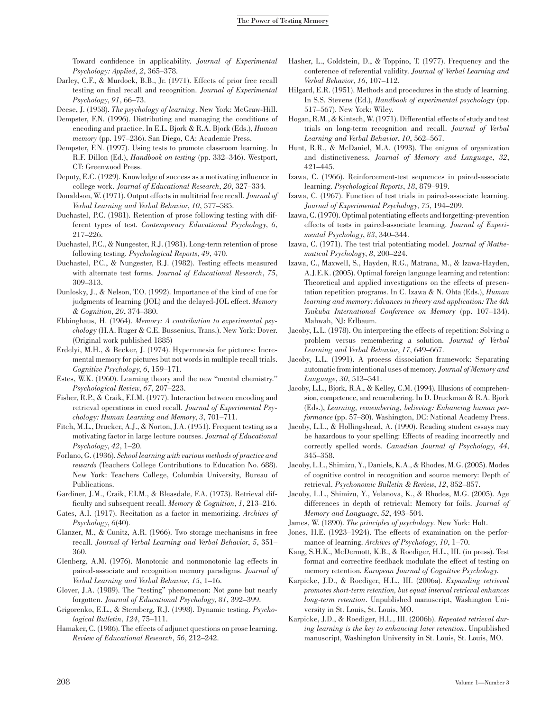Toward confidence in applicability. Journal of Experimental Psychology: Applied, 2, 365–378.

- Darley, C.F., & Murdock, B.B., Jr. (1971). Effects of prior free recall testing on final recall and recognition. Journal of Experimental Psychology, 91, 66–73.
- Deese, J. (1958). The psychology of learning. New York: McGraw-Hill.
- Dempster, F.N. (1996). Distributing and managing the conditions of encoding and practice. In E.L. Bjork & R.A. Bjork (Eds.), Human memory (pp. 197–236). San Diego, CA: Academic Press.
- Dempster, F.N. (1997). Using tests to promote classroom learning. In R.F. Dillon (Ed.), Handbook on testing (pp. 332–346). Westport, CT: Greenwood Press.
- Deputy, E.C. (1929). Knowledge of success as a motivating influence in college work. Journal of Educational Research, 20, 327–334.
- Donaldson, W. (1971). Output effects in multitrial free recall. Journal of Verbal Learning and Verbal Behavior, 10, 577–585.
- Duchastel, P.C. (1981). Retention of prose following testing with different types of test. Contemporary Educational Psychology, 6, 217–226.
- Duchastel, P.C., & Nungester, R.J. (1981). Long-term retention of prose following testing. Psychological Reports, 49, 470.
- Duchastel, P.C., & Nungester, R.J. (1982). Testing effects measured with alternate test forms. Journal of Educational Research, 75, 309–313.
- Dunlosky, J., & Nelson, T.O. (1992). Importance of the kind of cue for judgments of learning (JOL) and the delayed-JOL effect. Memory & Cognition, 20, 374–380.
- Ebbinghaus, H. (1964). Memory: A contribution to experimental psychology (H.A. Ruger & C.E. Bussenius, Trans.). New York: Dover. (Original work published 1885)
- Erdelyi, M.H., & Becker, J. (1974). Hypermnesia for pictures: Incremental memory for pictures but not words in multiple recall trials. Cognitive Psychology, 6, 159–171.
- Estes, W.K. (1960). Learning theory and the new ''mental chemistry.'' Psychological Review, 67, 207–223.
- Fisher, R.P., & Craik, F.I.M. (1977). Interaction between encoding and retrieval operations in cued recall. Journal of Experimental Psychology: Human Learning and Memory, 3, 701–711.
- Fitch, M.L., Drucker, A.J., & Norton, J.A. (1951). Frequent testing as a motivating factor in large lecture courses. Journal of Educational Psychology, 42, 1–20.
- Forlano, G. (1936). School learning with various methods of practice and rewards (Teachers College Contributions to Education No. 688). New York: Teachers College, Columbia University, Bureau of Publications.
- Gardiner, J.M., Craik, F.I.M., & Bleasdale, F.A. (1973). Retrieval difficulty and subsequent recall. Memory & Cognition, 1, 213–216.
- Gates, A.I. (1917). Recitation as a factor in memorizing. Archives of Psychology, 6(40).
- Glanzer, M., & Cunitz, A.R. (1966). Two storage mechanisms in free recall. Journal of Verbal Learning and Verbal Behavior, 5, 351– 360.
- Glenberg, A.M. (1976). Monotonic and nonmonotonic lag effects in paired-associate and recognition memory paradigms. Journal of Verbal Learning and Verbal Behavior, 15, 1–16.
- Glover, J.A. (1989). The ''testing'' phenomenon: Not gone but nearly forgotten. Journal of Educational Psychology, 81, 392–399.
- Grigorenko, E.L., & Sternberg, R.J. (1998). Dynamic testing. Psychological Bulletin, 124, 75–111.
- Hamaker, C. (1986). The effects of adjunct questions on prose learning. Review of Educational Research, 56, 212–242.
- Hasher, L., Goldstein, D., & Toppino, T. (1977). Frequency and the conference of referential validity. Journal of Verbal Learning and Verbal Behavior, 16, 107–112.
- Hilgard, E.R. (1951). Methods and procedures in the study of learning. In S.S. Stevens (Ed.), Handbook of experimental psychology (pp. 517–567). New York: Wiley.
- Hogan, R.M., & Kintsch, W. (1971). Differential effects of study and test trials on long-term recognition and recall. Journal of Verbal Learning and Verbal Behavior, 10, 562–567.
- Hunt, R.R., & McDaniel, M.A. (1993). The enigma of organization and distinctiveness. Journal of Memory and Language, 32, 421–445.
- Izawa, C. (1966). Reinforcement-test sequences in paired-associate learning. Psychological Reports, 18, 879–919.
- Izawa, C. (1967). Function of test trials in paired-associate learning. Journal of Experimental Psychology, 75, 194–209.
- Izawa, C. (1970). Optimal potentiating effects and forgetting-prevention effects of tests in paired-associate learning. Journal of Experimental Psychology, 83, 340–344.
- Izawa, C. (1971). The test trial potentiating model. Journal of Mathematical Psychology, 8, 200–224.
- Izawa, C., Maxwell, S., Hayden, R.G., Matrana, M., & Izawa-Hayden, A.J.E.K. (2005). Optimal foreign language learning and retention: Theoretical and applied investigations on the effects of presentation repetition programs. In C. Izawa & N. Ohta (Eds.), Human learning and memory: Advances in theory and application: The 4th Tsukuba International Conference on Memory (pp. 107–134). Mahwah, NJ: Erlbaum.
- Jacoby, L.L. (1978). On interpreting the effects of repetition: Solving a problem versus remembering a solution. Journal of Verbal Learning and Verbal Behavior, 17, 649–667.
- Jacoby, L.L. (1991). A process dissociation framework: Separating automatic from intentional uses of memory. Journal of Memory and Language, 30, 513–541.
- Jacoby, L.L., Bjork, R.A., & Kelley, C.M. (1994). Illusions of comprehension, competence, and remembering. In D. Druckman & R.A. Bjork (Eds.), Learning, remembering, believing: Enhancing human performance (pp. 57–80). Washington, DC: National Academy Press.
- Jacoby, L.L., & Hollingshead, A. (1990). Reading student essays may be hazardous to your spelling: Effects of reading incorrectly and correctly spelled words. Canadian Journal of Psychology, 44, 345–358.
- Jacoby, L.L., Shimizu, Y., Daniels, K.A., & Rhodes, M.G. (2005). Modes of cognitive control in recognition and source memory: Depth of retrieval. Psychonomic Bulletin & Review, 12, 852–857.
- Jacoby, L.L., Shimizu, Y., Velanova, K., & Rhodes, M.G. (2005). Age differences in depth of retrieval: Memory for foils. Journal of Memory and Language, 52, 493–504.
- James, W. (1890). The principles of psychology. New York: Holt.
- Jones, H.E. (1923–1924). The effects of examination on the performance of learning. Archives of Psychology, 10, 1–70.
- Kang, S.H.K., McDermott, K.B., & Roediger, H.L., III. (in press). Test format and corrective feedback modulate the effect of testing on memory retention. European Journal of Cognitive Psychology.
- Karpicke, J.D., & Roediger, H.L., III. (2006a). Expanding retrieval promotes short-term retention, but equal interval retrieval enhances long-term retention. Unpublished manuscript, Washington University in St. Louis, St. Louis, MO.
- Karpicke, J.D., & Roediger, H.L., III. (2006b). Repeated retrieval during learning is the key to enhancing later retention. Unpublished manuscript, Washington University in St. Louis, St. Louis, MO.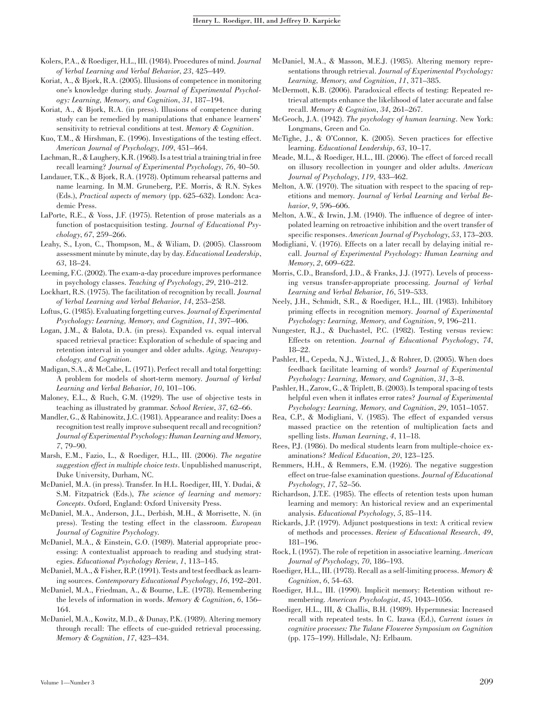Kolers, P.A., & Roediger, H.L., III. (1984). Procedures of mind. Journal of Verbal Learning and Verbal Behavior, 23, 425–449.

- Koriat, A., & Bjork, R.A. (2005). Illusions of competence in monitoring one's knowledge during study. Journal of Experimental Psychology: Learning, Memory, and Cognition, 31, 187–194.
- Koriat, A., & Bjork, R.A. (in press). Illusions of competence during study can be remedied by manipulations that enhance learners' sensitivity to retrieval conditions at test. Memory & Cognition.
- Kuo, T.M., & Hirshman, E. (1996). Investigations of the testing effect. American Journal of Psychology, 109, 451–464.
- Lachman, R., & Laughery, K.R. (1968). Is a test trial a training trial in free recall learning? Journal of Experimental Psychology, 76, 40–50.
- Landauer, T.K., & Bjork, R.A. (1978). Optimum rehearsal patterns and name learning. In M.M. Gruneberg, P.E. Morris, & R.N. Sykes (Eds.), Practical aspects of memory (pp. 625–632). London: Academic Press.
- LaPorte, R.E., & Voss, J.F. (1975). Retention of prose materials as a function of postacquisition testing. Journal of Educational Psychology, 67, 259–266.
- Leahy, S., Lyon, C., Thompson, M., & Wiliam, D. (2005). Classroom assessment minute by minute, day by day. Educational Leadership, 63, 18–24.
- Leeming, F.C. (2002). The exam-a-day procedure improves performance in psychology classes. Teaching of Psychology, 29, 210–212.
- Lockhart, R.S. (1975). The facilitation of recognition by recall. Journal of Verbal Learning and Verbal Behavior, 14, 253–258.
- Loftus, G. (1985). Evaluating forgetting curves. Journal of Experimental Psychology: Learning, Memory, and Cognition, 11, 397–406.
- Logan, J.M., & Balota, D.A. (in press). Expanded vs. equal interval spaced retrieval practice: Exploration of schedule of spacing and retention interval in younger and older adults. Aging, Neuropsychology, and Cognition.
- Madigan, S.A., & McCabe, L. (1971). Perfect recall and total forgetting: A problem for models of short-term memory. Journal of Verbal Learning and Verbal Behavior, 10, 101–106.
- Maloney, E.L., & Ruch, G.M. (1929). The use of objective tests in teaching as illustrated by grammar. School Review, 37, 62–66.
- Mandler, G., & Rabinowitz, J.C. (1981). Appearance and reality: Does a recognition test really improve subsequent recall and recognition? Journal of Experimental Psychology: Human Learning and Memory, 7, 79–90.
- Marsh, E.M., Fazio, L., & Roediger, H.L., III. (2006). The negative suggestion effect in multiple choice tests. Unpublished manuscript, Duke University, Durham, NC.
- McDaniel, M.A. (in press). Transfer. In H.L. Roediger, III, Y. Dudai, & S.M. Fitzpatrick (Eds.), The science of learning and memory: Concepts. Oxford, England: Oxford University Press.
- McDaniel, M.A., Anderson, J.L., Derbish, M.H., & Morrisette, N. (in press). Testing the testing effect in the classroom. European Journal of Cognitive Psychology.
- McDaniel, M.A., & Einstein, G.O. (1989). Material appropriate processing: A contextualist approach to reading and studying strategies. Educational Psychology Review, 1, 113–145.
- McDaniel, M.A., & Fisher, R.P. (1991). Tests and test feedback as learning sources. Contemporary Educational Psychology, 16, 192–201.
- McDaniel, M.A., Friedman, A., & Bourne, L.E. (1978). Remembering the levels of information in words. Memory & Cognition, 6, 156– 164.
- McDaniel, M.A., Kowitz, M.D., & Dunay, P.K. (1989). Altering memory through recall: The effects of cue-guided retrieval processing. Memory & Cognition, 17, 423–434.
- McDaniel, M.A., & Masson, M.E.J. (1985). Altering memory representations through retrieval. Journal of Experimental Psychology: Learning, Memory, and Cognition, 11, 371–385.
- McDermott, K.B. (2006). Paradoxical effects of testing: Repeated retrieval attempts enhance the likelihood of later accurate and false recall. Memory & Cognition, 34, 261–267.
- McGeoch, J.A. (1942). The psychology of human learning. New York: Longmans, Green and Co.
- McTighe, J., & O'Connor, K. (2005). Seven practices for effective learning. Educational Leadership, 63, 10–17.
- Meade, M.L., & Roediger, H.L., III. (2006). The effect of forced recall on illusory recollection in younger and older adults. American Journal of Psychology, 119, 433–462.
- Melton, A.W. (1970). The situation with respect to the spacing of repetitions and memory. Journal of Verbal Learning and Verbal Behavior, 9, 596–606.
- Melton, A.W., & Irwin, J.M. (1940). The influence of degree of interpolated learning on retroactive inhibition and the overt transfer of specific responses. American Journal of Psychology, 53, 173–203.
- Modigliani, V. (1976). Effects on a later recall by delaying initial recall. Journal of Experimental Psychology: Human Learning and Memory, 2, 609–622.
- Morris, C.D., Bransford, J.D., & Franks, J.J. (1977). Levels of processing versus transfer-appropriate processing. Journal of Verbal Learning and Verbal Behavior, 16, 519–533.
- Neely, J.H., Schmidt, S.R., & Roediger, H.L., III. (1983). Inhibitory priming effects in recognition memory. Journal of Experimental Psychology: Learning, Memory, and Cognition, 9, 196–211.
- Nungester, R.J., & Duchastel, P.C. (1982). Testing versus review: Effects on retention. Journal of Educational Psychology, 74, 18–22.
- Pashler, H., Cepeda, N.J., Wixted, J., & Rohrer, D. (2005). When does feedback facilitate learning of words? Journal of Experimental Psychology: Learning, Memory, and Cognition, 31, 3–8.
- Pashler, H., Zarow, G., & Triplett, B. (2003). Is temporal spacing of tests helpful even when it inflates error rates? Journal of Experimental Psychology: Learning, Memory, and Cognition, 29, 1051–1057.
- Rea, C.P., & Modigliani, V. (1985). The effect of expanded versus massed practice on the retention of multiplication facts and spelling lists. Human Learning, 4, 11–18.
- Rees, P.J. (1986). Do medical students learn from multiple-choice examinations? Medical Education, 20, 123–125.
- Remmers, H.H., & Remmers, E.M. (1926). The negative suggestion effect on true-false examination questions. Journal of Educational Psychology, 17, 52–56.
- Richardson, J.T.E. (1985). The effects of retention tests upon human learning and memory: An historical review and an experimental analysis. Educational Psychology, 5, 85–114.
- Rickards, J.P. (1979). Adjunct postquestions in text: A critical review of methods and processes. Review of Educational Research, 49, 181–196.
- Rock, I. (1957). The role of repetition in associative learning. American Journal of Psychology, 70, 186–193.
- Roediger, H.L., III. (1978). Recall as a self-limiting process. Memory & Cognition, 6, 54–63.
- Roediger, H.L., III. (1990). Implicit memory: Retention without remembering. American Psychologist, 45, 1043–1056.
- Roediger, H.L., III, & Challis, B.H. (1989). Hypermnesia: Increased recall with repeated tests. In C. Izawa (Ed.), Current issues in cognitive processes: The Tulane Floweree Symposium on Cognition (pp. 175–199). Hillsdale, NJ: Erlbaum.